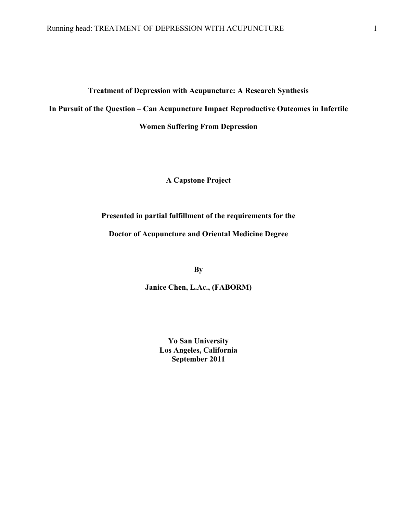# **Treatment of Depression with Acupuncture: A Research Synthesis In Pursuit of the Question – Can Acupuncture Impact Reproductive Outcomes in Infertile**

**Women Suffering From Depression**

**A Capstone Project**

**Presented in partial fulfillment of the requirements for the**

**Doctor of Acupuncture and Oriental Medicine Degree**

**By** 

**Janice Chen, L.Ac., (FABORM)**

**Yo San University Los Angeles, California September 2011**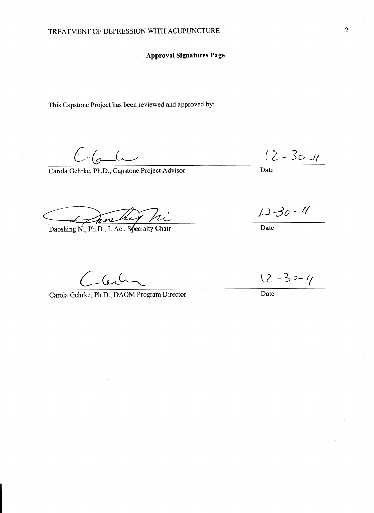#### **Approval Signatures Page**

This Capstone Project has been reviewed and approved by:

 $C$ -6- $C$ 

Carola Gehrke, Ph.D., Capstone Project Advisor

Daoshing Ni, Ph.D., L.Ac., Specialty Chair

 $C$ -Cer

Carola Gehrke, Ph.D., DAOM Program Director

 $\frac{(2-30-1)}{\text{Date}}$ 

 $12 - 30 - 11$ 

 $\overline{\text{Date}}$ 

 $12 - 30 - 4$ 

Date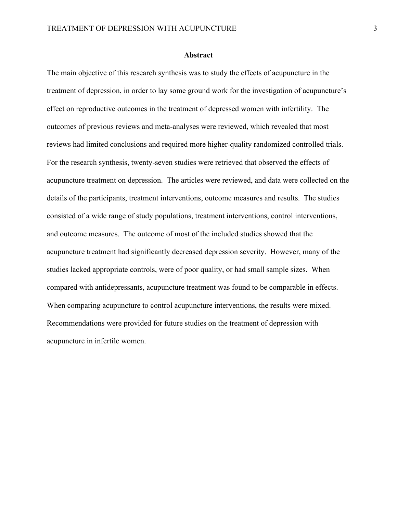#### **Abstract**

The main objective of this research synthesis was to study the effects of acupuncture in the treatment of depression, in order to lay some ground work for the investigation of acupuncture's effect on reproductive outcomes in the treatment of depressed women with infertility. The outcomes of previous reviews and meta-analyses were reviewed, which revealed that most reviews had limited conclusions and required more higher-quality randomized controlled trials. For the research synthesis, twenty-seven studies were retrieved that observed the effects of acupuncture treatment on depression. The articles were reviewed, and data were collected on the details of the participants, treatment interventions, outcome measures and results. The studies consisted of a wide range of study populations, treatment interventions, control interventions, and outcome measures. The outcome of most of the included studies showed that the acupuncture treatment had significantly decreased depression severity. However, many of the studies lacked appropriate controls, were of poor quality, or had small sample sizes. When compared with antidepressants, acupuncture treatment was found to be comparable in effects. When comparing acupuncture to control acupuncture interventions, the results were mixed. Recommendations were provided for future studies on the treatment of depression with acupuncture in infertile women.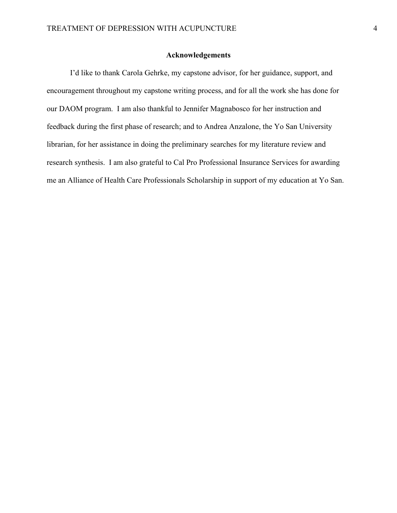#### **Acknowledgements**

I'd like to thank Carola Gehrke, my capstone advisor, for her guidance, support, and encouragement throughout my capstone writing process, and for all the work she has done for our DAOM program. I am also thankful to Jennifer Magnabosco for her instruction and feedback during the first phase of research; and to Andrea Anzalone, the Yo San University librarian, for her assistance in doing the preliminary searches for my literature review and research synthesis. I am also grateful to Cal Pro Professional Insurance Services for awarding me an Alliance of Health Care Professionals Scholarship in support of my education at Yo San.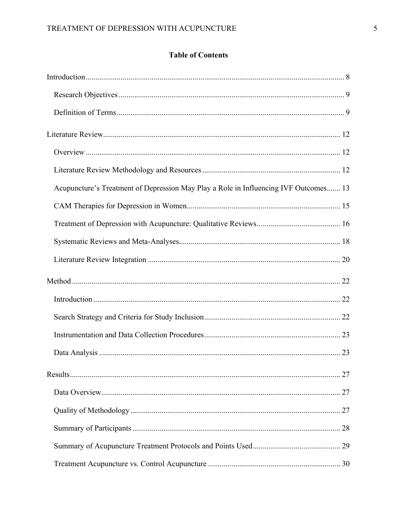### **Table of Contents**

| Acupuncture's Treatment of Depression May Play a Role in Influencing IVF Outcomes 13 |  |
|--------------------------------------------------------------------------------------|--|
|                                                                                      |  |
|                                                                                      |  |
|                                                                                      |  |
|                                                                                      |  |
|                                                                                      |  |
|                                                                                      |  |
|                                                                                      |  |
|                                                                                      |  |
|                                                                                      |  |
|                                                                                      |  |
|                                                                                      |  |
|                                                                                      |  |
|                                                                                      |  |
|                                                                                      |  |
|                                                                                      |  |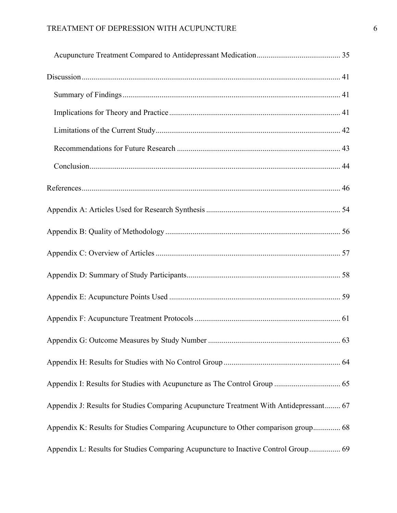| . 63                                                                                   |  |
|----------------------------------------------------------------------------------------|--|
|                                                                                        |  |
|                                                                                        |  |
| Appendix J: Results for Studies Comparing Acupuncture Treatment With Antidepressant 67 |  |
| Appendix K: Results for Studies Comparing Acupuncture to Other comparison group 68     |  |
| Appendix L: Results for Studies Comparing Acupuncture to Inactive Control Group 69     |  |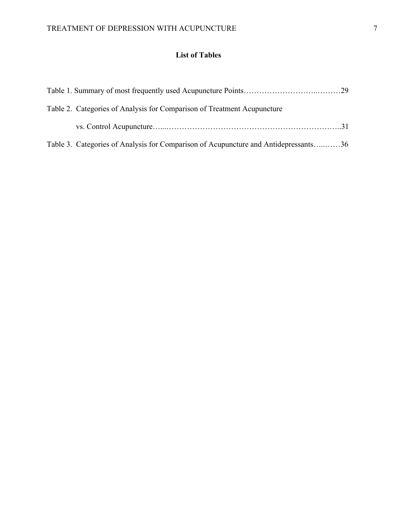### **List of Tables**

| Table 2. Categories of Analysis for Comparison of Treatment Acupuncture             |  |
|-------------------------------------------------------------------------------------|--|
|                                                                                     |  |
| Table 3. Categories of Analysis for Comparison of Acupuncture and Antidepressants36 |  |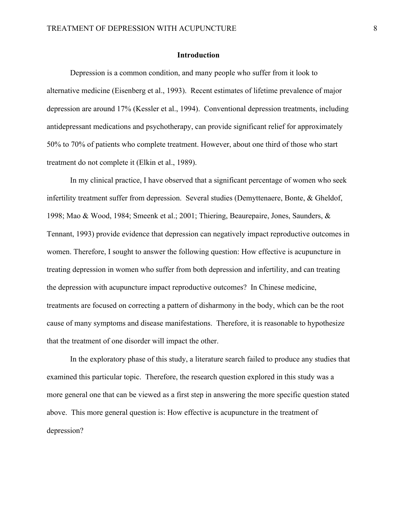#### **Introduction**

Depression is a common condition, and many people who suffer from it look to alternative medicine (Eisenberg et al., 1993). Recent estimates of lifetime prevalence of major depression are around 17% (Kessler et al., 1994). Conventional depression treatments, including antidepressant medications and psychotherapy, can provide significant relief for approximately 50% to 70% of patients who complete treatment. However, about one third of those who start treatment do not complete it (Elkin et al., 1989).

In my clinical practice, I have observed that a significant percentage of women who seek infertility treatment suffer from depression. Several studies (Demyttenaere, Bonte, & Gheldof, 1998; Mao & Wood, 1984; Smeenk et al.; 2001; Thiering, Beaurepaire, Jones, Saunders, & Tennant, 1993) provide evidence that depression can negatively impact reproductive outcomes in women. Therefore, I sought to answer the following question: How effective is acupuncture in treating depression in women who suffer from both depression and infertility, and can treating the depression with acupuncture impact reproductive outcomes? In Chinese medicine, treatments are focused on correcting a pattern of disharmony in the body, which can be the root cause of many symptoms and disease manifestations. Therefore, it is reasonable to hypothesize that the treatment of one disorder will impact the other.

In the exploratory phase of this study, a literature search failed to produce any studies that examined this particular topic. Therefore, the research question explored in this study was a more general one that can be viewed as a first step in answering the more specific question stated above. This more general question is: How effective is acupuncture in the treatment of depression?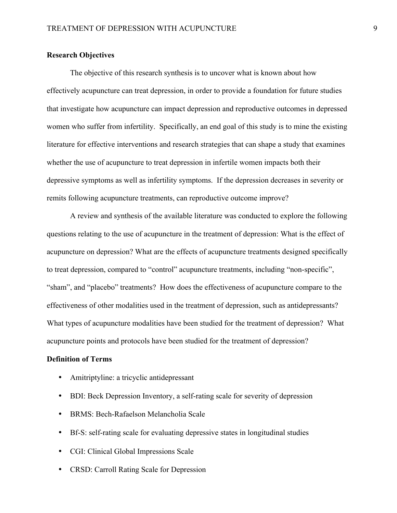#### **Research Objectives**

The objective of this research synthesis is to uncover what is known about how effectively acupuncture can treat depression, in order to provide a foundation for future studies that investigate how acupuncture can impact depression and reproductive outcomes in depressed women who suffer from infertility. Specifically, an end goal of this study is to mine the existing literature for effective interventions and research strategies that can shape a study that examines whether the use of acupuncture to treat depression in infertile women impacts both their depressive symptoms as well as infertility symptoms. If the depression decreases in severity or remits following acupuncture treatments, can reproductive outcome improve?

A review and synthesis of the available literature was conducted to explore the following questions relating to the use of acupuncture in the treatment of depression: What is the effect of acupuncture on depression? What are the effects of acupuncture treatments designed specifically to treat depression, compared to "control" acupuncture treatments, including "non-specific", "sham", and "placebo" treatments? How does the effectiveness of acupuncture compare to the effectiveness of other modalities used in the treatment of depression, such as antidepressants? What types of acupuncture modalities have been studied for the treatment of depression? What acupuncture points and protocols have been studied for the treatment of depression?

#### **Definition of Terms**

- Amitriptyline: a tricyclic antidepressant
- BDI: Beck Depression Inventory, a self-rating scale for severity of depression
- BRMS: Bech-Rafaelson Melancholia Scale
- Bf-S: self-rating scale for evaluating depressive states in longitudinal studies
- CGI: Clinical Global Impressions Scale
- CRSD: Carroll Rating Scale for Depression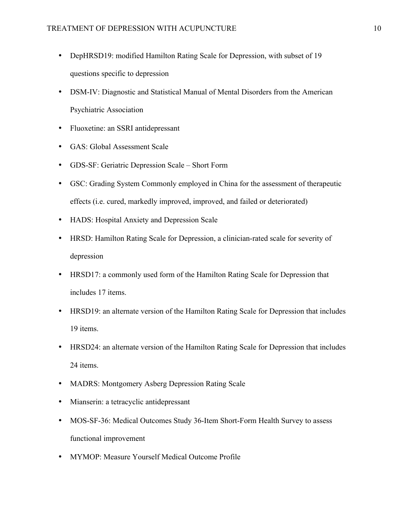- DepHRSD19: modified Hamilton Rating Scale for Depression, with subset of 19 questions specific to depression
- DSM-IV: Diagnostic and Statistical Manual of Mental Disorders from the American Psychiatric Association
- Fluoxetine: an SSRI antidepressant
- GAS: Global Assessment Scale
- GDS-SF: Geriatric Depression Scale Short Form
- GSC: Grading System Commonly employed in China for the assessment of therapeutic effects (i.e. cured, markedly improved, improved, and failed or deteriorated)
- HADS: Hospital Anxiety and Depression Scale
- HRSD: Hamilton Rating Scale for Depression, a clinician-rated scale for severity of depression
- HRSD17: a commonly used form of the Hamilton Rating Scale for Depression that includes 17 items.
- HRSD19: an alternate version of the Hamilton Rating Scale for Depression that includes 19 items.
- HRSD24: an alternate version of the Hamilton Rating Scale for Depression that includes 24 items.
- MADRS: Montgomery Asberg Depression Rating Scale
- Mianserin: a tetracyclic antidepressant
- MOS-SF-36: Medical Outcomes Study 36-Item Short-Form Health Survey to assess functional improvement
- MYMOP: Measure Yourself Medical Outcome Profile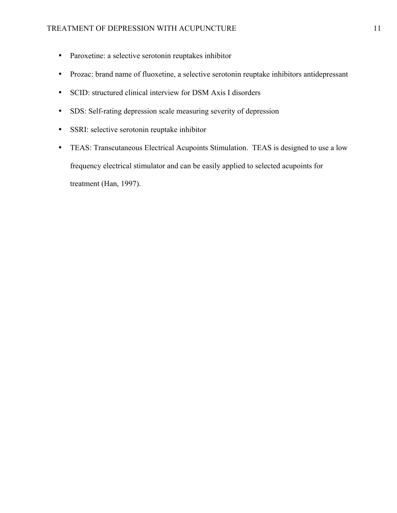- Paroxetine: a selective serotonin reuptakes inhibitor
- Prozac: brand name of fluoxetine, a selective serotonin reuptake inhibitors antidepressant
- SCID: structured clinical interview for DSM Axis I disorders
- SDS: Self-rating depression scale measuring severity of depression
- SSRI: selective serotonin reuptake inhibitor
- TEAS: Transcutaneous Electrical Acupoints Stimulation. TEAS is designed to use a low frequency electrical stimulator and can be easily applied to selected acupoints for treatment (Han, 1997).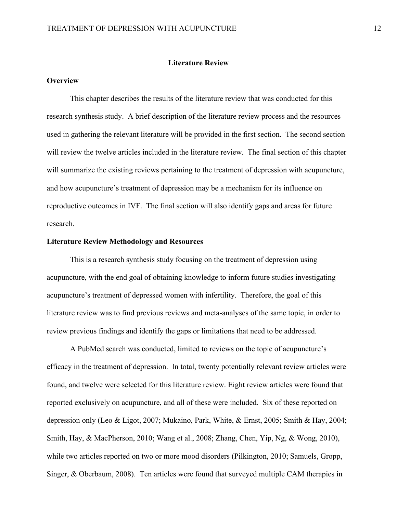#### **Literature Review**

#### **Overview**

This chapter describes the results of the literature review that was conducted for this research synthesis study. A brief description of the literature review process and the resources used in gathering the relevant literature will be provided in the first section. The second section will review the twelve articles included in the literature review. The final section of this chapter will summarize the existing reviews pertaining to the treatment of depression with acupuncture, and how acupuncture's treatment of depression may be a mechanism for its influence on reproductive outcomes in IVF. The final section will also identify gaps and areas for future research.

#### **Literature Review Methodology and Resources**

This is a research synthesis study focusing on the treatment of depression using acupuncture, with the end goal of obtaining knowledge to inform future studies investigating acupuncture's treatment of depressed women with infertility. Therefore, the goal of this literature review was to find previous reviews and meta-analyses of the same topic, in order to review previous findings and identify the gaps or limitations that need to be addressed.

A PubMed search was conducted, limited to reviews on the topic of acupuncture's efficacy in the treatment of depression. In total, twenty potentially relevant review articles were found, and twelve were selected for this literature review. Eight review articles were found that reported exclusively on acupuncture, and all of these were included. Six of these reported on depression only (Leo & Ligot, 2007; Mukaino, Park, White, & Ernst, 2005; Smith & Hay, 2004; Smith, Hay, & MacPherson, 2010; Wang et al., 2008; Zhang, Chen, Yip, Ng, & Wong, 2010), while two articles reported on two or more mood disorders (Pilkington, 2010; Samuels, Gropp, Singer, & Oberbaum, 2008). Ten articles were found that surveyed multiple CAM therapies in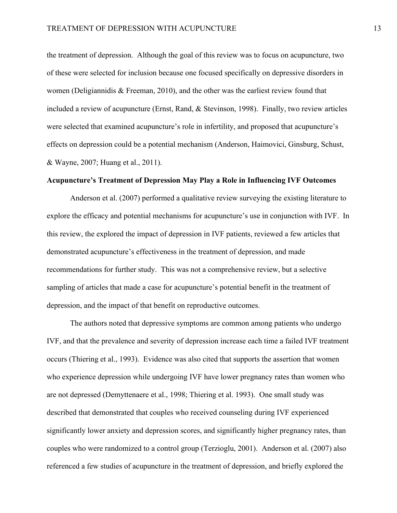the treatment of depression. Although the goal of this review was to focus on acupuncture, two of these were selected for inclusion because one focused specifically on depressive disorders in women (Deligiannidis & Freeman, 2010), and the other was the earliest review found that included a review of acupuncture (Ernst, Rand, & Stevinson, 1998). Finally, two review articles were selected that examined acupuncture's role in infertility, and proposed that acupuncture's effects on depression could be a potential mechanism (Anderson, Haimovici, Ginsburg, Schust, & Wayne, 2007; Huang et al., 2011).

#### **Acupuncture's Treatment of Depression May Play a Role in Influencing IVF Outcomes**

Anderson et al. (2007) performed a qualitative review surveying the existing literature to explore the efficacy and potential mechanisms for acupuncture's use in conjunction with IVF. In this review, the explored the impact of depression in IVF patients, reviewed a few articles that demonstrated acupuncture's effectiveness in the treatment of depression, and made recommendations for further study. This was not a comprehensive review, but a selective sampling of articles that made a case for acupuncture's potential benefit in the treatment of depression, and the impact of that benefit on reproductive outcomes.

The authors noted that depressive symptoms are common among patients who undergo IVF, and that the prevalence and severity of depression increase each time a failed IVF treatment occurs (Thiering et al., 1993). Evidence was also cited that supports the assertion that women who experience depression while undergoing IVF have lower pregnancy rates than women who are not depressed (Demyttenaere et al., 1998; Thiering et al. 1993). One small study was described that demonstrated that couples who received counseling during IVF experienced significantly lower anxiety and depression scores, and significantly higher pregnancy rates, than couples who were randomized to a control group (Terzioglu, 2001). Anderson et al. (2007) also referenced a few studies of acupuncture in the treatment of depression, and briefly explored the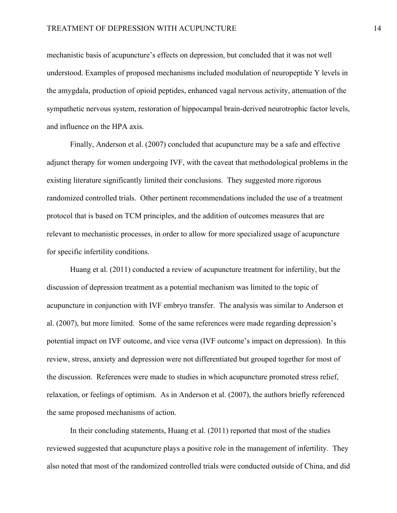mechanistic basis of acupuncture's effects on depression, but concluded that it was not well understood. Examples of proposed mechanisms included modulation of neuropeptide Y levels in the amygdala, production of opioid peptides, enhanced vagal nervous activity, attenuation of the sympathetic nervous system, restoration of hippocampal brain-derived neurotrophic factor levels, and influence on the HPA axis.

Finally, Anderson et al. (2007) concluded that acupuncture may be a safe and effective adjunct therapy for women undergoing IVF, with the caveat that methodological problems in the existing literature significantly limited their conclusions. They suggested more rigorous randomized controlled trials. Other pertinent recommendations included the use of a treatment protocol that is based on TCM principles, and the addition of outcomes measures that are relevant to mechanistic processes, in order to allow for more specialized usage of acupuncture for specific infertility conditions.

Huang et al. (2011) conducted a review of acupuncture treatment for infertility, but the discussion of depression treatment as a potential mechanism was limited to the topic of acupuncture in conjunction with IVF embryo transfer. The analysis was similar to Anderson et al. (2007), but more limited. Some of the same references were made regarding depression's potential impact on IVF outcome, and vice versa (IVF outcome's impact on depression). In this review, stress, anxiety and depression were not differentiated but grouped together for most of the discussion. References were made to studies in which acupuncture promoted stress relief, relaxation, or feelings of optimism. As in Anderson et al. (2007), the authors briefly referenced the same proposed mechanisms of action.

In their concluding statements, Huang et al. (2011) reported that most of the studies reviewed suggested that acupuncture plays a positive role in the management of infertility. They also noted that most of the randomized controlled trials were conducted outside of China, and did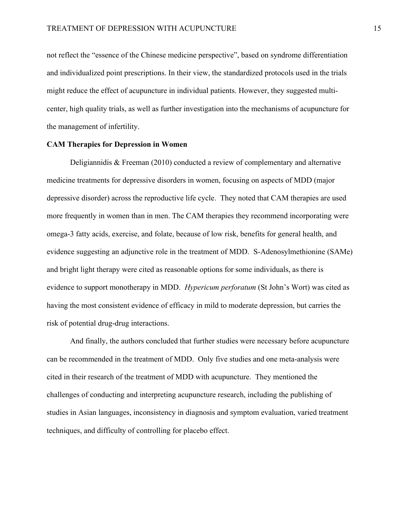not reflect the "essence of the Chinese medicine perspective", based on syndrome differentiation and individualized point prescriptions. In their view, the standardized protocols used in the trials might reduce the effect of acupuncture in individual patients. However, they suggested multicenter, high quality trials, as well as further investigation into the mechanisms of acupuncture for the management of infertility.

#### **CAM Therapies for Depression in Women**

Deligiannidis & Freeman (2010) conducted a review of complementary and alternative medicine treatments for depressive disorders in women, focusing on aspects of MDD (major depressive disorder) across the reproductive life cycle. They noted that CAM therapies are used more frequently in women than in men. The CAM therapies they recommend incorporating were omega-3 fatty acids, exercise, and folate, because of low risk, benefits for general health, and evidence suggesting an adjunctive role in the treatment of MDD. S-Adenosylmethionine (SAMe) and bright light therapy were cited as reasonable options for some individuals, as there is evidence to support monotherapy in MDD. *Hypericum perforatum* (St John's Wort) was cited as having the most consistent evidence of efficacy in mild to moderate depression, but carries the risk of potential drug-drug interactions.

And finally, the authors concluded that further studies were necessary before acupuncture can be recommended in the treatment of MDD. Only five studies and one meta-analysis were cited in their research of the treatment of MDD with acupuncture. They mentioned the challenges of conducting and interpreting acupuncture research, including the publishing of studies in Asian languages, inconsistency in diagnosis and symptom evaluation, varied treatment techniques, and difficulty of controlling for placebo effect.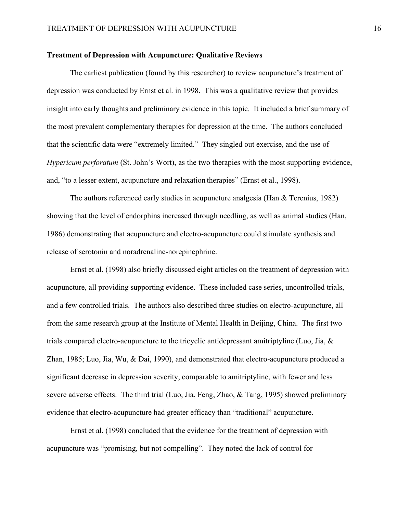#### **Treatment of Depression with Acupuncture: Qualitative Reviews**

The earliest publication (found by this researcher) to review acupuncture's treatment of depression was conducted by Ernst et al. in 1998. This was a qualitative review that provides insight into early thoughts and preliminary evidence in this topic. It included a brief summary of the most prevalent complementary therapies for depression at the time. The authors concluded that the scientific data were "extremely limited." They singled out exercise, and the use of *Hypericum perforatum* (St. John's Wort), as the two therapies with the most supporting evidence, and, "to a lesser extent, acupuncture and relaxation therapies" (Ernst et al., 1998).

The authors referenced early studies in acupuncture analgesia (Han & Terenius, 1982) showing that the level of endorphins increased through needling, as well as animal studies (Han, 1986) demonstrating that acupuncture and electro-acupuncture could stimulate synthesis and release of serotonin and noradrenaline-norepinephrine.

Ernst et al. (1998) also briefly discussed eight articles on the treatment of depression with acupuncture, all providing supporting evidence. These included case series, uncontrolled trials, and a few controlled trials. The authors also described three studies on electro-acupuncture, all from the same research group at the Institute of Mental Health in Beijing, China. The first two trials compared electro-acupuncture to the tricyclic antidepressant amitriptyline (Luo, Jia, & Zhan, 1985; Luo, Jia, Wu, & Dai, 1990), and demonstrated that electro-acupuncture produced a significant decrease in depression severity, comparable to amitriptyline, with fewer and less severe adverse effects. The third trial (Luo, Jia, Feng, Zhao, & Tang, 1995) showed preliminary evidence that electro-acupuncture had greater efficacy than "traditional" acupuncture.

Ernst et al. (1998) concluded that the evidence for the treatment of depression with acupuncture was "promising, but not compelling". They noted the lack of control for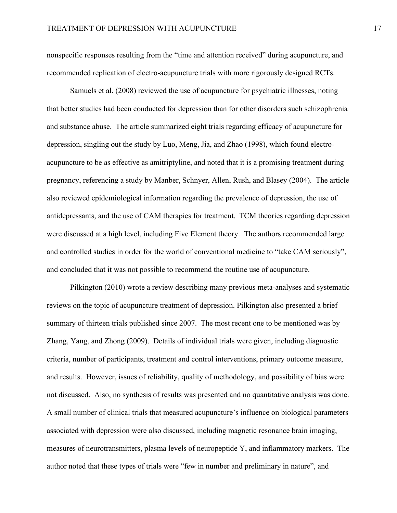nonspecific responses resulting from the "time and attention received" during acupuncture, and recommended replication of electro-acupuncture trials with more rigorously designed RCTs.

Samuels et al. (2008) reviewed the use of acupuncture for psychiatric illnesses, noting that better studies had been conducted for depression than for other disorders such schizophrenia and substance abuse. The article summarized eight trials regarding efficacy of acupuncture for depression, singling out the study by Luo, Meng, Jia, and Zhao (1998), which found electroacupuncture to be as effective as amitriptyline, and noted that it is a promising treatment during pregnancy, referencing a study by Manber, Schnyer, Allen, Rush, and Blasey (2004). The article also reviewed epidemiological information regarding the prevalence of depression, the use of antidepressants, and the use of CAM therapies for treatment. TCM theories regarding depression were discussed at a high level, including Five Element theory. The authors recommended large and controlled studies in order for the world of conventional medicine to "take CAM seriously", and concluded that it was not possible to recommend the routine use of acupuncture.

Pilkington (2010) wrote a review describing many previous meta-analyses and systematic reviews on the topic of acupuncture treatment of depression. Pilkington also presented a brief summary of thirteen trials published since 2007. The most recent one to be mentioned was by Zhang, Yang, and Zhong (2009). Details of individual trials were given, including diagnostic criteria, number of participants, treatment and control interventions, primary outcome measure, and results. However, issues of reliability, quality of methodology, and possibility of bias were not discussed. Also, no synthesis of results was presented and no quantitative analysis was done. A small number of clinical trials that measured acupuncture's influence on biological parameters associated with depression were also discussed, including magnetic resonance brain imaging, measures of neurotransmitters, plasma levels of neuropeptide Y, and inflammatory markers. The author noted that these types of trials were "few in number and preliminary in nature", and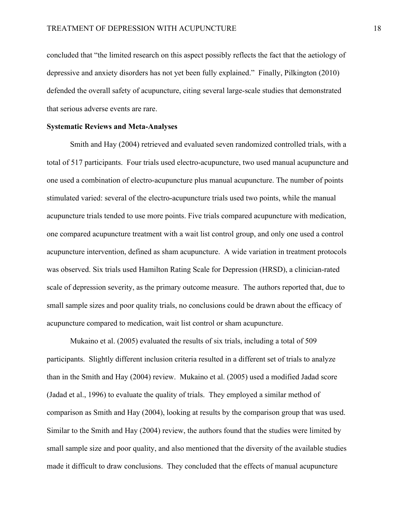concluded that "the limited research on this aspect possibly reflects the fact that the aetiology of depressive and anxiety disorders has not yet been fully explained." Finally, Pilkington (2010) defended the overall safety of acupuncture, citing several large-scale studies that demonstrated that serious adverse events are rare.

#### **Systematic Reviews and Meta-Analyses**

Smith and Hay (2004) retrieved and evaluated seven randomized controlled trials, with a total of 517 participants. Four trials used electro-acupuncture, two used manual acupuncture and one used a combination of electro-acupuncture plus manual acupuncture. The number of points stimulated varied: several of the electro-acupuncture trials used two points, while the manual acupuncture trials tended to use more points. Five trials compared acupuncture with medication, one compared acupuncture treatment with a wait list control group, and only one used a control acupuncture intervention, defined as sham acupuncture. A wide variation in treatment protocols was observed. Six trials used Hamilton Rating Scale for Depression (HRSD), a clinician-rated scale of depression severity, as the primary outcome measure. The authors reported that, due to small sample sizes and poor quality trials, no conclusions could be drawn about the efficacy of acupuncture compared to medication, wait list control or sham acupuncture.

Mukaino et al. (2005) evaluated the results of six trials, including a total of 509 participants. Slightly different inclusion criteria resulted in a different set of trials to analyze than in the Smith and Hay (2004) review. Mukaino et al. (2005) used a modified Jadad score (Jadad et al., 1996) to evaluate the quality of trials. They employed a similar method of comparison as Smith and Hay (2004), looking at results by the comparison group that was used. Similar to the Smith and Hay (2004) review, the authors found that the studies were limited by small sample size and poor quality, and also mentioned that the diversity of the available studies made it difficult to draw conclusions. They concluded that the effects of manual acupuncture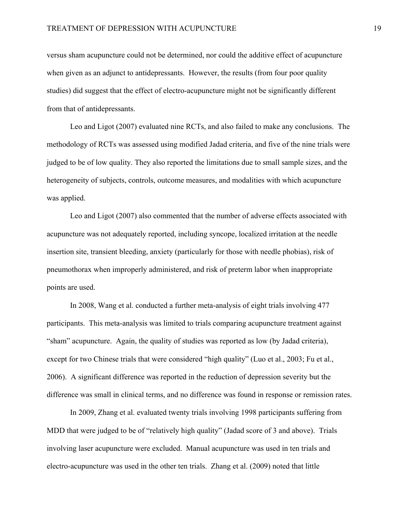versus sham acupuncture could not be determined, nor could the additive effect of acupuncture when given as an adjunct to antidepressants. However, the results (from four poor quality studies) did suggest that the effect of electro-acupuncture might not be significantly different from that of antidepressants.

Leo and Ligot (2007) evaluated nine RCTs, and also failed to make any conclusions. The methodology of RCTs was assessed using modified Jadad criteria, and five of the nine trials were judged to be of low quality. They also reported the limitations due to small sample sizes, and the heterogeneity of subjects, controls, outcome measures, and modalities with which acupuncture was applied.

Leo and Ligot (2007) also commented that the number of adverse effects associated with acupuncture was not adequately reported, including syncope, localized irritation at the needle insertion site, transient bleeding, anxiety (particularly for those with needle phobias), risk of pneumothorax when improperly administered, and risk of preterm labor when inappropriate points are used.

In 2008, Wang et al. conducted a further meta-analysis of eight trials involving 477 participants. This meta-analysis was limited to trials comparing acupuncture treatment against "sham" acupuncture. Again, the quality of studies was reported as low (by Jadad criteria), except for two Chinese trials that were considered "high quality" (Luo et al., 2003; Fu et al., 2006). A significant difference was reported in the reduction of depression severity but the difference was small in clinical terms, and no difference was found in response or remission rates.

In 2009, Zhang et al. evaluated twenty trials involving 1998 participants suffering from MDD that were judged to be of "relatively high quality" (Jadad score of 3 and above). Trials involving laser acupuncture were excluded. Manual acupuncture was used in ten trials and electro-acupuncture was used in the other ten trials. Zhang et al. (2009) noted that little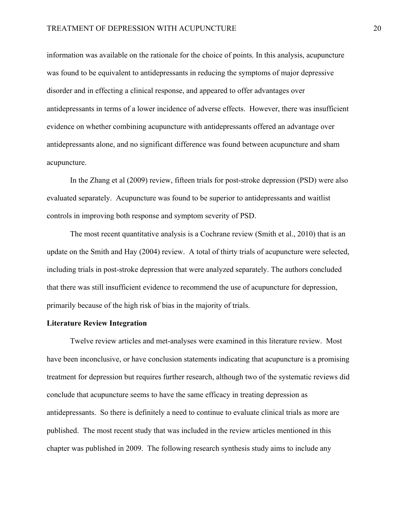information was available on the rationale for the choice of points. In this analysis, acupuncture was found to be equivalent to antidepressants in reducing the symptoms of major depressive disorder and in effecting a clinical response, and appeared to offer advantages over antidepressants in terms of a lower incidence of adverse effects. However, there was insufficient evidence on whether combining acupuncture with antidepressants offered an advantage over antidepressants alone, and no significant difference was found between acupuncture and sham acupuncture.

In the Zhang et al (2009) review, fifteen trials for post-stroke depression (PSD) were also evaluated separately. Acupuncture was found to be superior to antidepressants and waitlist controls in improving both response and symptom severity of PSD.

The most recent quantitative analysis is a Cochrane review (Smith et al., 2010) that is an update on the Smith and Hay (2004) review. A total of thirty trials of acupuncture were selected, including trials in post-stroke depression that were analyzed separately. The authors concluded that there was still insufficient evidence to recommend the use of acupuncture for depression, primarily because of the high risk of bias in the majority of trials.

#### **Literature Review Integration**

Twelve review articles and met-analyses were examined in this literature review. Most have been inconclusive, or have conclusion statements indicating that acupuncture is a promising treatment for depression but requires further research, although two of the systematic reviews did conclude that acupuncture seems to have the same efficacy in treating depression as antidepressants. So there is definitely a need to continue to evaluate clinical trials as more are published. The most recent study that was included in the review articles mentioned in this chapter was published in 2009. The following research synthesis study aims to include any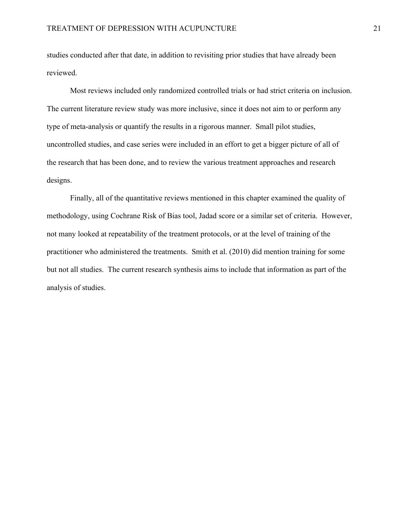studies conducted after that date, in addition to revisiting prior studies that have already been reviewed.

Most reviews included only randomized controlled trials or had strict criteria on inclusion. The current literature review study was more inclusive, since it does not aim to or perform any type of meta-analysis or quantify the results in a rigorous manner. Small pilot studies, uncontrolled studies, and case series were included in an effort to get a bigger picture of all of the research that has been done, and to review the various treatment approaches and research designs.

Finally, all of the quantitative reviews mentioned in this chapter examined the quality of methodology, using Cochrane Risk of Bias tool, Jadad score or a similar set of criteria. However, not many looked at repeatability of the treatment protocols, or at the level of training of the practitioner who administered the treatments. Smith et al. (2010) did mention training for some but not all studies. The current research synthesis aims to include that information as part of the analysis of studies.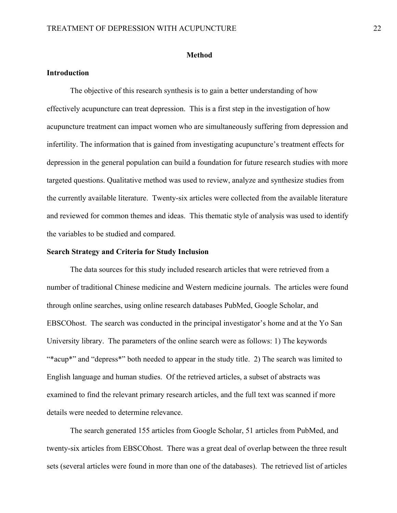#### **Method**

#### **Introduction**

The objective of this research synthesis is to gain a better understanding of how effectively acupuncture can treat depression. This is a first step in the investigation of how acupuncture treatment can impact women who are simultaneously suffering from depression and infertility. The information that is gained from investigating acupuncture's treatment effects for depression in the general population can build a foundation for future research studies with more targeted questions. Qualitative method was used to review, analyze and synthesize studies from the currently available literature. Twenty-six articles were collected from the available literature and reviewed for common themes and ideas. This thematic style of analysis was used to identify the variables to be studied and compared.

#### **Search Strategy and Criteria for Study Inclusion**

The data sources for this study included research articles that were retrieved from a number of traditional Chinese medicine and Western medicine journals. The articles were found through online searches, using online research databases PubMed, Google Scholar, and EBSCOhost. The search was conducted in the principal investigator's home and at the Yo San University library. The parameters of the online search were as follows: 1) The keywords "\*acup\*" and "depress\*" both needed to appear in the study title. 2) The search was limited to English language and human studies. Of the retrieved articles, a subset of abstracts was examined to find the relevant primary research articles, and the full text was scanned if more details were needed to determine relevance.

The search generated 155 articles from Google Scholar, 51 articles from PubMed, and twenty-six articles from EBSCOhost. There was a great deal of overlap between the three result sets (several articles were found in more than one of the databases). The retrieved list of articles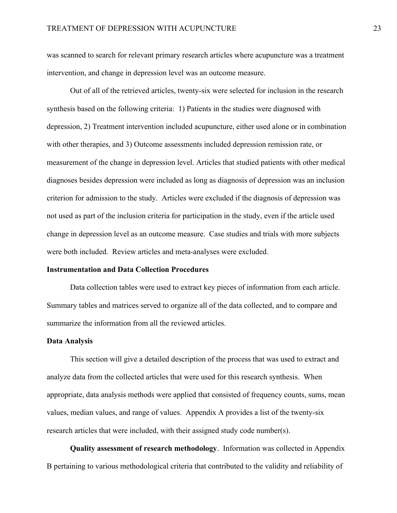was scanned to search for relevant primary research articles where acupuncture was a treatment intervention, and change in depression level was an outcome measure.

Out of all of the retrieved articles, twenty-six were selected for inclusion in the research synthesis based on the following criteria: 1) Patients in the studies were diagnosed with depression, 2) Treatment intervention included acupuncture, either used alone or in combination with other therapies, and 3) Outcome assessments included depression remission rate, or measurement of the change in depression level. Articles that studied patients with other medical diagnoses besides depression were included as long as diagnosis of depression was an inclusion criterion for admission to the study. Articles were excluded if the diagnosis of depression was not used as part of the inclusion criteria for participation in the study, even if the article used change in depression level as an outcome measure. Case studies and trials with more subjects were both included. Review articles and meta-analyses were excluded.

#### **Instrumentation and Data Collection Procedures**

Data collection tables were used to extract key pieces of information from each article. Summary tables and matrices served to organize all of the data collected, and to compare and summarize the information from all the reviewed articles.

#### **Data Analysis**

This section will give a detailed description of the process that was used to extract and analyze data from the collected articles that were used for this research synthesis. When appropriate, data analysis methods were applied that consisted of frequency counts, sums, mean values, median values, and range of values. Appendix A provides a list of the twenty-six research articles that were included, with their assigned study code number(s).

**Quality assessment of research methodology**.Information was collected in Appendix B pertaining to various methodological criteria that contributed to the validity and reliability of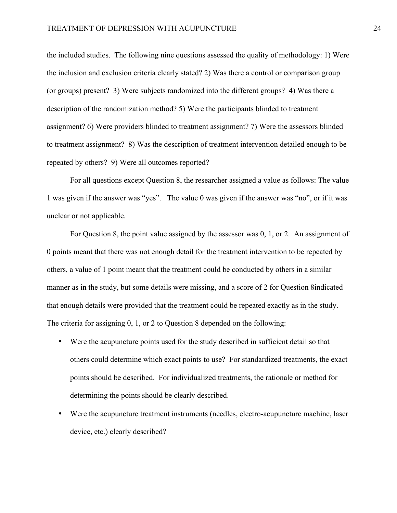the included studies. The following nine questions assessed the quality of methodology: 1) Were the inclusion and exclusion criteria clearly stated? 2) Was there a control or comparison group (or groups) present? 3) Were subjects randomized into the different groups? 4) Was there a description of the randomization method? 5) Were the participants blinded to treatment assignment? 6) Were providers blinded to treatment assignment? 7) Were the assessors blinded to treatment assignment? 8) Was the description of treatment intervention detailed enough to be repeated by others? 9) Were all outcomes reported?

For all questions except Question 8, the researcher assigned a value as follows: The value 1 was given if the answer was "yes". The value 0 was given if the answer was "no", or if it was unclear or not applicable.

For Question 8, the point value assigned by the assessor was 0, 1, or 2. An assignment of 0 points meant that there was not enough detail for the treatment intervention to be repeated by others, a value of 1 point meant that the treatment could be conducted by others in a similar manner as in the study, but some details were missing, and a score of 2 for Question 8indicated that enough details were provided that the treatment could be repeated exactly as in the study. The criteria for assigning 0, 1, or 2 to Question 8 depended on the following:

- Were the acupuncture points used for the study described in sufficient detail so that others could determine which exact points to use? For standardized treatments, the exact points should be described. For individualized treatments, the rationale or method for determining the points should be clearly described.
- Were the acupuncture treatment instruments (needles, electro-acupuncture machine, laser device, etc.) clearly described?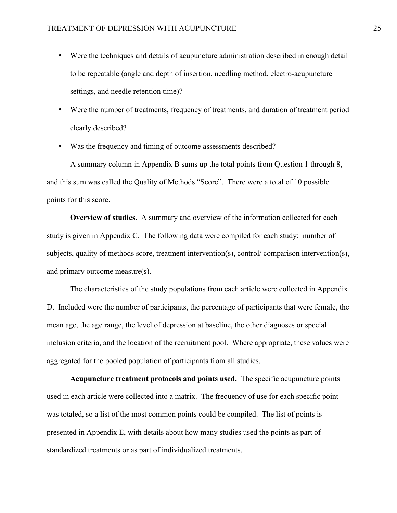- Were the techniques and details of acupuncture administration described in enough detail to be repeatable (angle and depth of insertion, needling method, electro-acupuncture settings, and needle retention time)?
- Were the number of treatments, frequency of treatments, and duration of treatment period clearly described?
- Was the frequency and timing of outcome assessments described?

A summary column in Appendix B sums up the total points from Question 1 through 8, and this sum was called the Quality of Methods "Score". There were a total of 10 possible points for this score.

**Overview of studies.** A summary and overview of the information collected for each study is given in Appendix C. The following data were compiled for each study: number of subjects, quality of methods score, treatment intervention(s), control/ comparison intervention(s), and primary outcome measure(s).

The characteristics of the study populations from each article were collected in Appendix D. Included were the number of participants, the percentage of participants that were female, the mean age, the age range, the level of depression at baseline, the other diagnoses or special inclusion criteria, and the location of the recruitment pool. Where appropriate, these values were aggregated for the pooled population of participants from all studies.

**Acupuncture treatment protocols and points used.** The specific acupuncture points used in each article were collected into a matrix. The frequency of use for each specific point was totaled, so a list of the most common points could be compiled. The list of points is presented in Appendix E, with details about how many studies used the points as part of standardized treatments or as part of individualized treatments.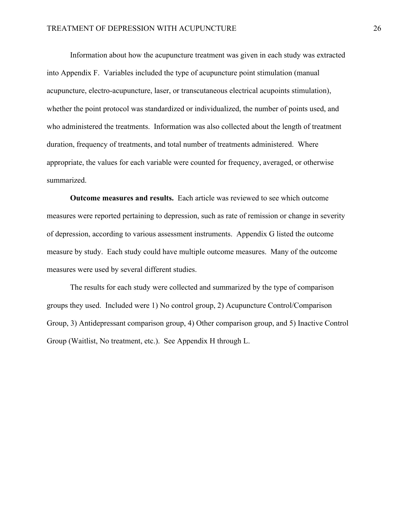Information about how the acupuncture treatment was given in each study was extracted into Appendix F. Variables included the type of acupuncture point stimulation (manual acupuncture, electro-acupuncture, laser, or transcutaneous electrical acupoints stimulation), whether the point protocol was standardized or individualized, the number of points used, and who administered the treatments. Information was also collected about the length of treatment duration, frequency of treatments, and total number of treatments administered. Where appropriate, the values for each variable were counted for frequency, averaged, or otherwise summarized.

**Outcome measures and results.** Each article was reviewed to see which outcome measures were reported pertaining to depression, such as rate of remission or change in severity of depression, according to various assessment instruments. Appendix G listed the outcome measure by study. Each study could have multiple outcome measures. Many of the outcome measures were used by several different studies.

The results for each study were collected and summarized by the type of comparison groups they used. Included were 1) No control group, 2) Acupuncture Control/Comparison Group, 3) Antidepressant comparison group, 4) Other comparison group, and 5) Inactive Control Group (Waitlist, No treatment, etc.). See Appendix H through L.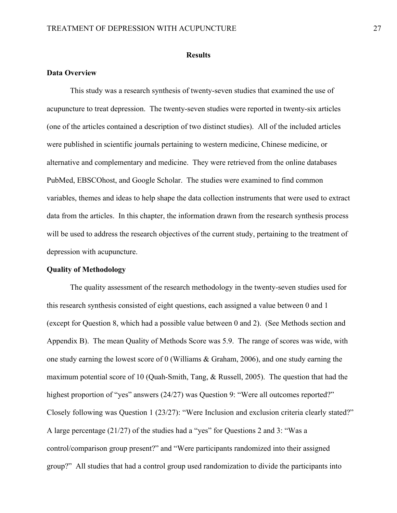#### **Results**

#### **Data Overview**

This study was a research synthesis of twenty-seven studies that examined the use of acupuncture to treat depression. The twenty-seven studies were reported in twenty-six articles (one of the articles contained a description of two distinct studies). All of the included articles were published in scientific journals pertaining to western medicine, Chinese medicine, or alternative and complementary and medicine. They were retrieved from the online databases PubMed, EBSCOhost, and Google Scholar. The studies were examined to find common variables, themes and ideas to help shape the data collection instruments that were used to extract data from the articles. In this chapter, the information drawn from the research synthesis process will be used to address the research objectives of the current study, pertaining to the treatment of depression with acupuncture.

#### **Quality of Methodology**

The quality assessment of the research methodology in the twenty-seven studies used for this research synthesis consisted of eight questions, each assigned a value between 0 and 1 (except for Question 8, which had a possible value between 0 and 2). (See Methods section and Appendix B). The mean Quality of Methods Score was 5.9. The range of scores was wide, with one study earning the lowest score of 0 (Williams & Graham, 2006), and one study earning the maximum potential score of 10 (Quah-Smith, Tang, & Russell, 2005). The question that had the highest proportion of "yes" answers (24/27) was Question 9: "Were all outcomes reported?" Closely following was Question 1 (23/27): "Were Inclusion and exclusion criteria clearly stated?" A large percentage (21/27) of the studies had a "yes" for Questions 2 and 3: "Was a control/comparison group present?" and "Were participants randomized into their assigned group?" All studies that had a control group used randomization to divide the participants into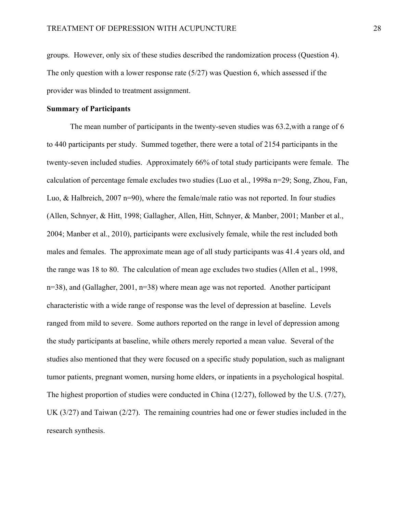groups. However, only six of these studies described the randomization process (Question 4). The only question with a lower response rate  $(5/27)$  was Question 6, which assessed if the provider was blinded to treatment assignment.

#### **Summary of Participants**

The mean number of participants in the twenty-seven studies was 63.2,with a range of 6 to 440 participants per study. Summed together, there were a total of 2154 participants in the twenty-seven included studies. Approximately 66% of total study participants were female. The calculation of percentage female excludes two studies (Luo et al., 1998a n=29; Song, Zhou, Fan, Luo, & Halbreich, 2007 n=90), where the female/male ratio was not reported. In four studies (Allen, Schnyer, & Hitt, 1998; Gallagher, Allen, Hitt, Schnyer, & Manber, 2001; Manber et al., 2004; Manber et al., 2010), participants were exclusively female, while the rest included both males and females. The approximate mean age of all study participants was 41.4 years old, and the range was 18 to 80. The calculation of mean age excludes two studies (Allen et al., 1998,  $n=38$ ), and (Gallagher, 2001,  $n=38$ ) where mean age was not reported. Another participant characteristic with a wide range of response was the level of depression at baseline. Levels ranged from mild to severe. Some authors reported on the range in level of depression among the study participants at baseline, while others merely reported a mean value. Several of the studies also mentioned that they were focused on a specific study population, such as malignant tumor patients, pregnant women, nursing home elders, or inpatients in a psychological hospital. The highest proportion of studies were conducted in China (12/27), followed by the U.S. (7/27), UK (3/27) and Taiwan (2/27). The remaining countries had one or fewer studies included in the research synthesis.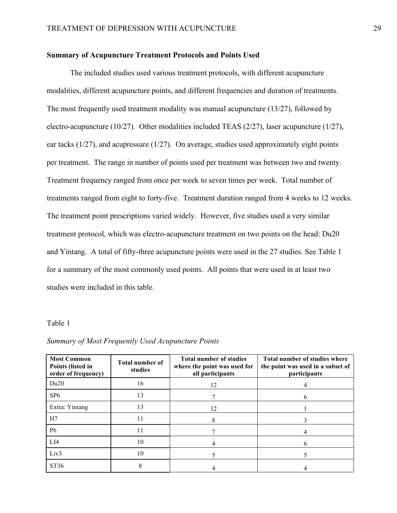#### **Summary of Acupuncture Treatment Protocols and Points Used**

The included studies used various treatment protocols, with different acupuncture modalities, different acupuncture points, and different frequencies and duration of treatments. The most frequently used treatment modality was manual acupuncture (13/27), followed by electro-acupuncture (10/27). Other modalities included TEAS (2/27), laser acupuncture (1/27), ear tacks (1/27), and acupressure (1/27). On average, studies used approximately eight points per treatment. The range in number of points used per treatment was between two and twenty. Treatment frequency ranged from once per week to seven times per week. Total number of treatments ranged from eight to forty-five. Treatment duration ranged from 4 weeks to 12 weeks. The treatment point prescriptions varied widely. However, five studies used a very similar treatment protocol, which was electro-acupuncture treatment on two points on the head: Du20 and Yintang. A total of fifty-three acupuncture points were used in the 27 studies. See Table 1 for a summary of the most commonly used points. All points that were used in at least two studies were included in this table.

#### Table 1

| <b>Most Common</b><br>Points (listed in<br>order of frequency) | <b>Total number of</b><br>studies | <b>Total number of studies</b><br>where the point was used for<br>all participants | Total number of studies where<br>the point was used in a subset of<br>participants |
|----------------------------------------------------------------|-----------------------------------|------------------------------------------------------------------------------------|------------------------------------------------------------------------------------|
| Du20                                                           | 16                                | 12                                                                                 |                                                                                    |
| SP <sub>6</sub>                                                | 13                                |                                                                                    |                                                                                    |
| Extra: Yintang                                                 | 13                                | 12                                                                                 |                                                                                    |
| H7                                                             | 11                                | 8                                                                                  |                                                                                    |
| <b>P6</b>                                                      | 11                                |                                                                                    |                                                                                    |
| LI4                                                            | 10                                |                                                                                    |                                                                                    |
| Liv <sub>3</sub>                                               | 10                                |                                                                                    |                                                                                    |
| ST36                                                           | 8                                 |                                                                                    |                                                                                    |

#### *Summary of Most Frequently Used Acupuncture Points*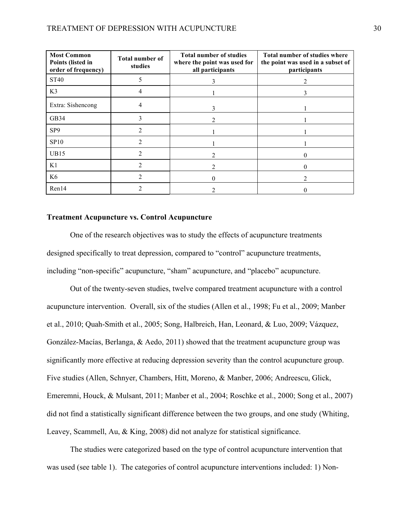| <b>Most Common</b><br>Points (listed in<br>order of frequency) | <b>Total number of</b><br>studies | <b>Total number of studies</b><br>where the point was used for<br>all participants | Total number of studies where<br>the point was used in a subset of<br>participants |
|----------------------------------------------------------------|-----------------------------------|------------------------------------------------------------------------------------|------------------------------------------------------------------------------------|
| <b>ST40</b>                                                    |                                   | 3                                                                                  |                                                                                    |
| K3                                                             |                                   |                                                                                    |                                                                                    |
| Extra: Sishencong                                              |                                   | 3                                                                                  |                                                                                    |
| GB34                                                           |                                   |                                                                                    |                                                                                    |
| SP <sub>9</sub>                                                |                                   |                                                                                    |                                                                                    |
| <b>SP10</b>                                                    |                                   |                                                                                    |                                                                                    |
| <b>UB15</b>                                                    |                                   |                                                                                    |                                                                                    |
| K1                                                             |                                   |                                                                                    |                                                                                    |
| K <sub>6</sub>                                                 |                                   |                                                                                    |                                                                                    |
| Ren14                                                          |                                   |                                                                                    |                                                                                    |

#### **Treatment Acupuncture vs. Control Acupuncture**

One of the research objectives was to study the effects of acupuncture treatments designed specifically to treat depression, compared to "control" acupuncture treatments, including "non-specific" acupuncture, "sham" acupuncture, and "placebo" acupuncture.

Out of the twenty-seven studies, twelve compared treatment acupuncture with a control acupuncture intervention. Overall, six of the studies (Allen et al., 1998; Fu et al., 2009; Manber et al., 2010; Quah-Smith et al., 2005; Song, Halbreich, Han, Leonard, & Luo, 2009; Vázquez, González-Macías, Berlanga, & Aedo, 2011) showed that the treatment acupuncture group was significantly more effective at reducing depression severity than the control acupuncture group. Five studies (Allen, Schnyer, Chambers, Hitt, Moreno, & Manber, 2006; Andreescu, Glick, Emeremni, Houck, & Mulsant, 2011; Manber et al., 2004; Roschke et al., 2000; Song et al., 2007) did not find a statistically significant difference between the two groups, and one study (Whiting, Leavey, Scammell, Au, & King, 2008) did not analyze for statistical significance.

The studies were categorized based on the type of control acupuncture intervention that was used (see table 1). The categories of control acupuncture interventions included: 1) Non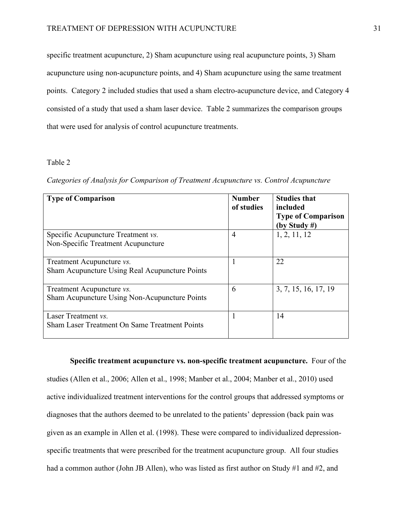specific treatment acupuncture, 2) Sham acupuncture using real acupuncture points, 3) Sham acupuncture using non-acupuncture points, and 4) Sham acupuncture using the same treatment points. Category 2 included studies that used a sham electro-acupuncture device, and Category 4 consisted of a study that used a sham laser device. Table 2 summarizes the comparison groups that were used for analysis of control acupuncture treatments.

#### Table 2

*Categories of Analysis for Comparison of Treatment Acupuncture vs. Control Acupuncture*

| <b>Type of Comparison</b>                                                           | Number<br>of studies | <b>Studies that</b><br>included<br><b>Type of Comparison</b><br>(by Study #) |
|-------------------------------------------------------------------------------------|----------------------|------------------------------------------------------------------------------|
| Specific Acupuncture Treatment vs.<br>Non-Specific Treatment Acupuncture            | $\overline{4}$       | 1, 2, 11, 12                                                                 |
| Treatment Acupuncture <i>vs</i> .<br>Sham Acupuncture Using Real Acupuncture Points |                      | 22                                                                           |
| Treatment Acupuncture <i>vs</i> .<br>Sham Acupuncture Using Non-Acupuncture Points  | 6                    | 3, 7, 15, 16, 17, 19                                                         |
| Laser Treatment vs.<br><b>Sham Laser Treatment On Same Treatment Points</b>         |                      | 14                                                                           |

**Specific treatment acupuncture vs. non-specific treatment acupuncture.** Four of the studies (Allen et al., 2006; Allen et al., 1998; Manber et al., 2004; Manber et al., 2010) used active individualized treatment interventions for the control groups that addressed symptoms or diagnoses that the authors deemed to be unrelated to the patients' depression (back pain was given as an example in Allen et al. (1998). These were compared to individualized depressionspecific treatments that were prescribed for the treatment acupuncture group. All four studies had a common author (John JB Allen), who was listed as first author on Study #1 and #2, and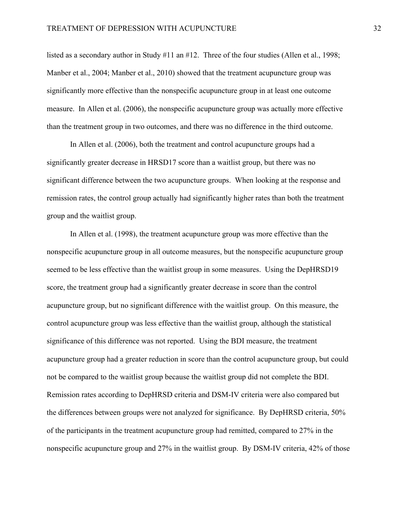listed as a secondary author in Study #11 an #12. Three of the four studies (Allen et al., 1998; Manber et al., 2004; Manber et al., 2010) showed that the treatment acupuncture group was significantly more effective than the nonspecific acupuncture group in at least one outcome measure. In Allen et al. (2006), the nonspecific acupuncture group was actually more effective than the treatment group in two outcomes, and there was no difference in the third outcome.

In Allen et al. (2006), both the treatment and control acupuncture groups had a significantly greater decrease in HRSD17 score than a waitlist group, but there was no significant difference between the two acupuncture groups. When looking at the response and remission rates, the control group actually had significantly higher rates than both the treatment group and the waitlist group.

In Allen et al. (1998), the treatment acupuncture group was more effective than the nonspecific acupuncture group in all outcome measures, but the nonspecific acupuncture group seemed to be less effective than the waitlist group in some measures. Using the DepHRSD19 score, the treatment group had a significantly greater decrease in score than the control acupuncture group, but no significant difference with the waitlist group. On this measure, the control acupuncture group was less effective than the waitlist group, although the statistical significance of this difference was not reported. Using the BDI measure, the treatment acupuncture group had a greater reduction in score than the control acupuncture group, but could not be compared to the waitlist group because the waitlist group did not complete the BDI. Remission rates according to DepHRSD criteria and DSM-IV criteria were also compared but the differences between groups were not analyzed for significance. By DepHRSD criteria, 50% of the participants in the treatment acupuncture group had remitted, compared to 27% in the nonspecific acupuncture group and 27% in the waitlist group. By DSM-IV criteria, 42% of those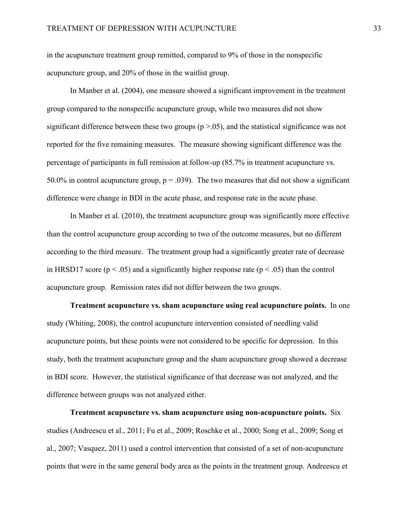in the acupuncture treatment group remitted, compared to 9% of those in the nonspecific acupuncture group, and 20% of those in the waitlist group.

In Manber et al. (2004), one measure showed a significant improvement in the treatment group compared to the nonspecific acupuncture group, while two measures did not show significant difference between these two groups  $(p > .05)$ , and the statistical significance was not reported for the five remaining measures. The measure showing significant difference was the percentage of participants in full remission at follow-up (85.7% in treatment acupuncture vs. 50.0% in control acupuncture group,  $p = .039$ ). The two measures that did not show a significant difference were change in BDI in the acute phase, and response rate in the acute phase.

In Manber et al. (2010), the treatment acupuncture group was significantly more effective than the control acupuncture group according to two of the outcome measures, but no different according to the third measure. The treatment group had a significantly greater rate of decrease in HRSD17 score ( $p < .05$ ) and a significantly higher response rate ( $p < .05$ ) than the control acupuncture group. Remission rates did not differ between the two groups.

**Treatment acupuncture vs. sham acupuncture using real acupuncture points.** In one study (Whiting, 2008), the control acupuncture intervention consisted of needling valid acupuncture points, but these points were not considered to be specific for depression. In this study, both the treatment acupuncture group and the sham acupuncture group showed a decrease in BDI score. However, the statistical significance of that decrease was not analyzed, and the difference between groups was not analyzed either.

**Treatment acupuncture vs. sham acupuncture using non-acupuncture points.** Six studies (Andreescu et al., 2011; Fu et al., 2009; Roschke et al., 2000; Song et al., 2009; Song et al., 2007; Vasquez, 2011) used a control intervention that consisted of a set of non-acupuncture points that were in the same general body area as the points in the treatment group. Andreescu et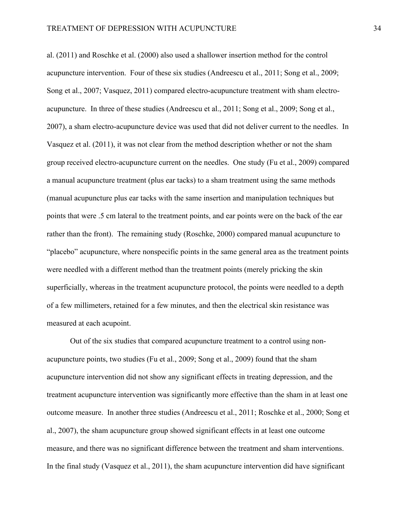al. (2011) and Roschke et al. (2000) also used a shallower insertion method for the control acupuncture intervention. Four of these six studies (Andreescu et al., 2011; Song et al., 2009; Song et al., 2007; Vasquez, 2011) compared electro-acupuncture treatment with sham electroacupuncture. In three of these studies (Andreescu et al., 2011; Song et al., 2009; Song et al., 2007), a sham electro-acupuncture device was used that did not deliver current to the needles. In Vasquez et al. (2011), it was not clear from the method description whether or not the sham group received electro-acupuncture current on the needles. One study (Fu et al., 2009) compared a manual acupuncture treatment (plus ear tacks) to a sham treatment using the same methods (manual acupuncture plus ear tacks with the same insertion and manipulation techniques but points that were .5 cm lateral to the treatment points, and ear points were on the back of the ear rather than the front). The remaining study (Roschke, 2000) compared manual acupuncture to "placebo" acupuncture, where nonspecific points in the same general area as the treatment points were needled with a different method than the treatment points (merely pricking the skin superficially, whereas in the treatment acupuncture protocol, the points were needled to a depth of a few millimeters, retained for a few minutes, and then the electrical skin resistance was measured at each acupoint.

Out of the six studies that compared acupuncture treatment to a control using nonacupuncture points, two studies (Fu et al., 2009; Song et al., 2009) found that the sham acupuncture intervention did not show any significant effects in treating depression, and the treatment acupuncture intervention was significantly more effective than the sham in at least one outcome measure. In another three studies (Andreescu et al., 2011; Roschke et al., 2000; Song et al., 2007), the sham acupuncture group showed significant effects in at least one outcome measure, and there was no significant difference between the treatment and sham interventions. In the final study (Vasquez et al., 2011), the sham acupuncture intervention did have significant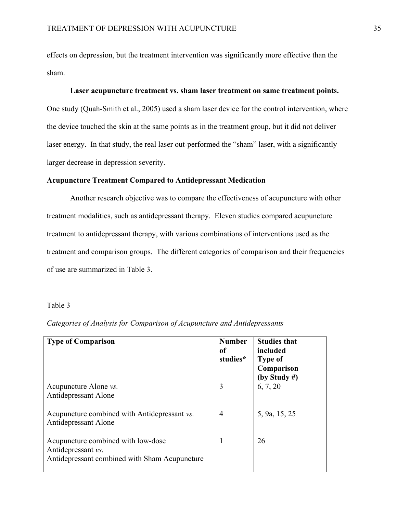effects on depression, but the treatment intervention was significantly more effective than the sham.

#### **Laser acupuncture treatment vs. sham laser treatment on same treatment points.**

One study (Quah-Smith et al., 2005) used a sham laser device for the control intervention, where the device touched the skin at the same points as in the treatment group, but it did not deliver laser energy. In that study, the real laser out-performed the "sham" laser, with a significantly larger decrease in depression severity.

#### **Acupuncture Treatment Compared to Antidepressant Medication**

Another research objective was to compare the effectiveness of acupuncture with other treatment modalities, such as antidepressant therapy. Eleven studies compared acupuncture treatment to antidepressant therapy, with various combinations of interventions used as the treatment and comparison groups. The different categories of comparison and their frequencies of use are summarized in Table 3.

#### Table 3

| Categories of Analysis for Comparison of Acupuncture and Antidepressants |  |  |  |
|--------------------------------------------------------------------------|--|--|--|
|--------------------------------------------------------------------------|--|--|--|

| <b>Type of Comparison</b>                                                                                 | <b>Number</b><br>оf<br>studies* | <b>Studies that</b><br>included<br><b>Type of</b><br>Comparison<br>(by Study #) |
|-----------------------------------------------------------------------------------------------------------|---------------------------------|---------------------------------------------------------------------------------|
| Acupuncture Alone <i>vs</i> .<br>Antidepressant Alone                                                     | 3                               | 6, 7, 20                                                                        |
| Acupuncture combined with Antidepressant vs.<br>Antidepressant Alone                                      | 4                               | 5, 9a, 15, 25                                                                   |
| Acupuncture combined with low-dose<br>Antidepressant vs.<br>Antidepressant combined with Sham Acupuncture |                                 | 26                                                                              |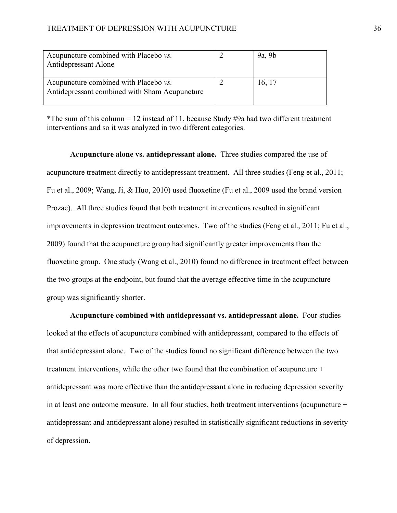| Acupuncture combined with Placebo <i>vs</i> .<br><b>Antidepressant Alone</b>                   | 9a, 9b |
|------------------------------------------------------------------------------------------------|--------|
| Acupuncture combined with Placebo <i>vs</i> .<br>Antidepressant combined with Sham Acupuncture | 16, 17 |

\*The sum of this column = 12 instead of 11, because Study  $\#9a$  had two different treatment interventions and so it was analyzed in two different categories.

**Acupuncture alone vs. antidepressant alone.** Three studies compared the use of acupuncture treatment directly to antidepressant treatment. All three studies (Feng et al., 2011; Fu et al., 2009; Wang, Ji, & Huo, 2010) used fluoxetine (Fu et al., 2009 used the brand version Prozac). All three studies found that both treatment interventions resulted in significant improvements in depression treatment outcomes. Two of the studies (Feng et al., 2011; Fu et al., 2009) found that the acupuncture group had significantly greater improvements than the fluoxetine group. One study (Wang et al., 2010) found no difference in treatment effect between the two groups at the endpoint, but found that the average effective time in the acupuncture group was significantly shorter.

**Acupuncture combined with antidepressant vs. antidepressant alone.** Four studies looked at the effects of acupuncture combined with antidepressant, compared to the effects of that antidepressant alone. Two of the studies found no significant difference between the two treatment interventions, while the other two found that the combination of acupuncture + antidepressant was more effective than the antidepressant alone in reducing depression severity in at least one outcome measure. In all four studies, both treatment interventions (acupuncture + antidepressant and antidepressant alone) resulted in statistically significant reductions in severity of depression.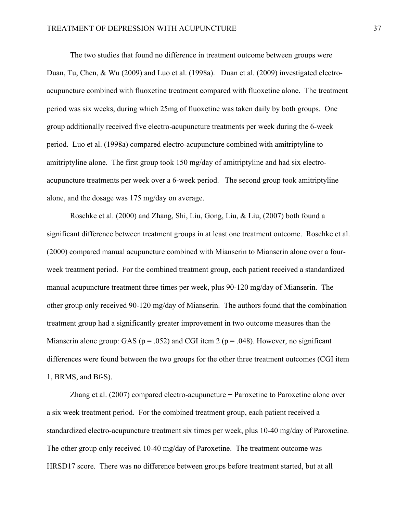The two studies that found no difference in treatment outcome between groups were Duan, Tu, Chen, & Wu (2009) and Luo et al. (1998a). Duan et al. (2009) investigated electroacupuncture combined with fluoxetine treatment compared with fluoxetine alone. The treatment period was six weeks, during which 25mg of fluoxetine was taken daily by both groups. One group additionally received five electro-acupuncture treatments per week during the 6-week period. Luo et al. (1998a) compared electro-acupuncture combined with amitriptyline to amitriptyline alone. The first group took 150 mg/day of amitriptyline and had six electroacupuncture treatments per week over a 6-week period. The second group took amitriptyline alone, and the dosage was 175 mg/day on average.

Roschke et al. (2000) and Zhang, Shi, Liu, Gong, Liu, & Liu, (2007) both found a significant difference between treatment groups in at least one treatment outcome. Roschke et al. (2000) compared manual acupuncture combined with Mianserin to Mianserin alone over a fourweek treatment period. For the combined treatment group, each patient received a standardized manual acupuncture treatment three times per week, plus 90-120 mg/day of Mianserin. The other group only received 90-120 mg/day of Mianserin. The authors found that the combination treatment group had a significantly greater improvement in two outcome measures than the Mianserin alone group: GAS ( $p = .052$ ) and CGI item 2 ( $p = .048$ ). However, no significant differences were found between the two groups for the other three treatment outcomes (CGI item 1, BRMS, and Bf-S).

Zhang et al. (2007) compared electro-acupuncture + Paroxetine to Paroxetine alone over a six week treatment period. For the combined treatment group, each patient received a standardized electro-acupuncture treatment six times per week, plus 10-40 mg/day of Paroxetine. The other group only received 10-40 mg/day of Paroxetine. The treatment outcome was HRSD17 score. There was no difference between groups before treatment started, but at all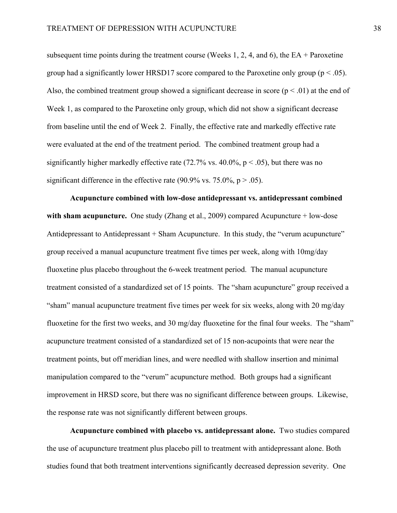subsequent time points during the treatment course (Weeks 1, 2, 4, and 6), the  $EA$  + Paroxetine group had a significantly lower HRSD17 score compared to the Paroxetine only group ( $p < .05$ ). Also, the combined treatment group showed a significant decrease in score  $(p < .01)$  at the end of Week 1, as compared to the Paroxetine only group, which did not show a significant decrease from baseline until the end of Week 2. Finally, the effective rate and markedly effective rate were evaluated at the end of the treatment period. The combined treatment group had a significantly higher markedly effective rate (72.7% vs. 40.0%,  $p < .05$ ), but there was no significant difference in the effective rate (90.9% vs. 75.0%,  $p > .05$ ).

**Acupuncture combined with low-dose antidepressant vs. antidepressant combined with sham acupuncture.** One study (Zhang et al., 2009) compared Acupuncture + low-dose Antidepressant to Antidepressant + Sham Acupuncture. In this study, the "verum acupuncture" group received a manual acupuncture treatment five times per week, along with 10mg/day fluoxetine plus placebo throughout the 6-week treatment period. The manual acupuncture treatment consisted of a standardized set of 15 points. The "sham acupuncture" group received a "sham" manual acupuncture treatment five times per week for six weeks, along with 20 mg/day fluoxetine for the first two weeks, and 30 mg/day fluoxetine for the final four weeks. The "sham" acupuncture treatment consisted of a standardized set of 15 non-acupoints that were near the treatment points, but off meridian lines, and were needled with shallow insertion and minimal manipulation compared to the "verum" acupuncture method. Both groups had a significant improvement in HRSD score, but there was no significant difference between groups. Likewise, the response rate was not significantly different between groups.

**Acupuncture combined with placebo vs. antidepressant alone.** Two studies compared the use of acupuncture treatment plus placebo pill to treatment with antidepressant alone. Both studies found that both treatment interventions significantly decreased depression severity. One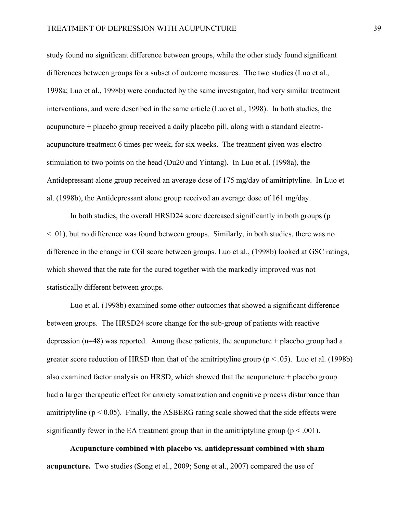study found no significant difference between groups, while the other study found significant differences between groups for a subset of outcome measures. The two studies (Luo et al., 1998a; Luo et al., 1998b) were conducted by the same investigator, had very similar treatment interventions, and were described in the same article (Luo et al., 1998). In both studies, the acupuncture + placebo group received a daily placebo pill, along with a standard electroacupuncture treatment 6 times per week, for six weeks. The treatment given was electrostimulation to two points on the head (Du20 and Yintang). In Luo et al. (1998a), the Antidepressant alone group received an average dose of 175 mg/day of amitriptyline. In Luo et al. (1998b), the Antidepressant alone group received an average dose of 161 mg/day.

In both studies, the overall HRSD24 score decreased significantly in both groups (p  $\leq$  0.01), but no difference was found between groups. Similarly, in both studies, there was no difference in the change in CGI score between groups. Luo et al., (1998b) looked at GSC ratings, which showed that the rate for the cured together with the markedly improved was not statistically different between groups.

Luo et al. (1998b) examined some other outcomes that showed a significant difference between groups. The HRSD24 score change for the sub-group of patients with reactive depression ( $n=48$ ) was reported. Among these patients, the acupuncture + placebo group had a greater score reduction of HRSD than that of the amitriptyline group ( $p < .05$ ). Luo et al. (1998b) also examined factor analysis on HRSD, which showed that the acupuncture + placebo group had a larger therapeutic effect for anxiety somatization and cognitive process disturbance than amitriptyline ( $p < 0.05$ ). Finally, the ASBERG rating scale showed that the side effects were significantly fewer in the EA treatment group than in the amitriptyline group ( $p < .001$ ).

**Acupuncture combined with placebo vs. antidepressant combined with sham acupuncture.** Two studies (Song et al., 2009; Song et al., 2007) compared the use of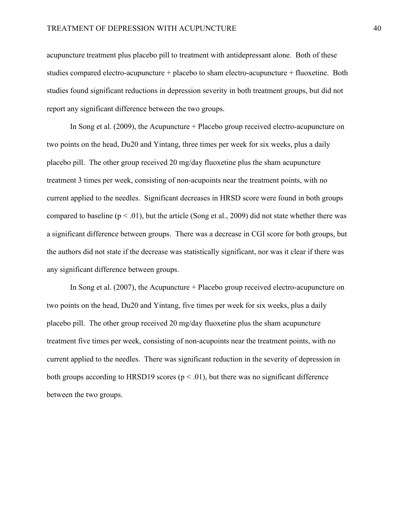acupuncture treatment plus placebo pill to treatment with antidepressant alone. Both of these studies compared electro-acupuncture + placebo to sham electro-acupuncture + fluoxetine. Both studies found significant reductions in depression severity in both treatment groups, but did not report any significant difference between the two groups.

In Song et al. (2009), the Acupuncture + Placebo group received electro-acupuncture on two points on the head, Du20 and Yintang, three times per week for six weeks, plus a daily placebo pill. The other group received 20 mg/day fluoxetine plus the sham acupuncture treatment 3 times per week, consisting of non-acupoints near the treatment points, with no current applied to the needles. Significant decreases in HRSD score were found in both groups compared to baseline ( $p < .01$ ), but the article (Song et al., 2009) did not state whether there was a significant difference between groups. There was a decrease in CGI score for both groups, but the authors did not state if the decrease was statistically significant, nor was it clear if there was any significant difference between groups.

In Song et al. (2007), the Acupuncture + Placebo group received electro-acupuncture on two points on the head, Du20 and Yintang, five times per week for six weeks, plus a daily placebo pill. The other group received 20 mg/day fluoxetine plus the sham acupuncture treatment five times per week, consisting of non-acupoints near the treatment points, with no current applied to the needles. There was significant reduction in the severity of depression in both groups according to HRSD19 scores ( $p < .01$ ), but there was no significant difference between the two groups.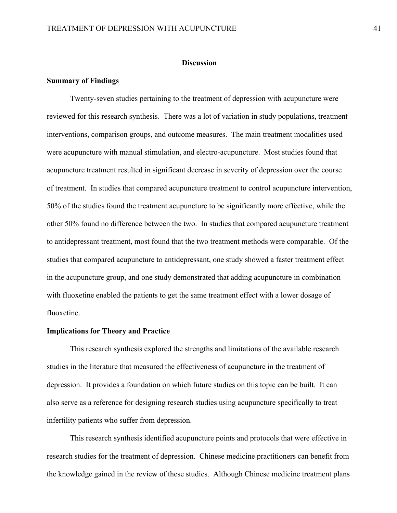#### **Discussion**

#### **Summary of Findings**

Twenty-seven studies pertaining to the treatment of depression with acupuncture were reviewed for this research synthesis. There was a lot of variation in study populations, treatment interventions, comparison groups, and outcome measures. The main treatment modalities used were acupuncture with manual stimulation, and electro-acupuncture. Most studies found that acupuncture treatment resulted in significant decrease in severity of depression over the course of treatment. In studies that compared acupuncture treatment to control acupuncture intervention, 50% of the studies found the treatment acupuncture to be significantly more effective, while the other 50% found no difference between the two. In studies that compared acupuncture treatment to antidepressant treatment, most found that the two treatment methods were comparable. Of the studies that compared acupuncture to antidepressant, one study showed a faster treatment effect in the acupuncture group, and one study demonstrated that adding acupuncture in combination with fluoxetine enabled the patients to get the same treatment effect with a lower dosage of fluoxetine.

#### **Implications for Theory and Practice**

This research synthesis explored the strengths and limitations of the available research studies in the literature that measured the effectiveness of acupuncture in the treatment of depression. It provides a foundation on which future studies on this topic can be built. It can also serve as a reference for designing research studies using acupuncture specifically to treat infertility patients who suffer from depression.

This research synthesis identified acupuncture points and protocols that were effective in research studies for the treatment of depression. Chinese medicine practitioners can benefit from the knowledge gained in the review of these studies. Although Chinese medicine treatment plans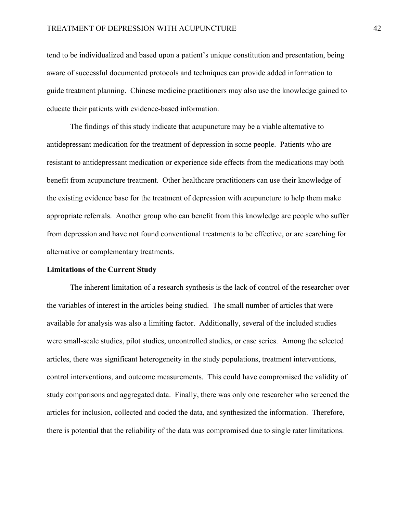tend to be individualized and based upon a patient's unique constitution and presentation, being aware of successful documented protocols and techniques can provide added information to guide treatment planning. Chinese medicine practitioners may also use the knowledge gained to educate their patients with evidence-based information.

The findings of this study indicate that acupuncture may be a viable alternative to antidepressant medication for the treatment of depression in some people. Patients who are resistant to antidepressant medication or experience side effects from the medications may both benefit from acupuncture treatment. Other healthcare practitioners can use their knowledge of the existing evidence base for the treatment of depression with acupuncture to help them make appropriate referrals. Another group who can benefit from this knowledge are people who suffer from depression and have not found conventional treatments to be effective, or are searching for alternative or complementary treatments.

#### **Limitations of the Current Study**

The inherent limitation of a research synthesis is the lack of control of the researcher over the variables of interest in the articles being studied. The small number of articles that were available for analysis was also a limiting factor. Additionally, several of the included studies were small-scale studies, pilot studies, uncontrolled studies, or case series. Among the selected articles, there was significant heterogeneity in the study populations, treatment interventions, control interventions, and outcome measurements. This could have compromised the validity of study comparisons and aggregated data. Finally, there was only one researcher who screened the articles for inclusion, collected and coded the data, and synthesized the information. Therefore, there is potential that the reliability of the data was compromised due to single rater limitations.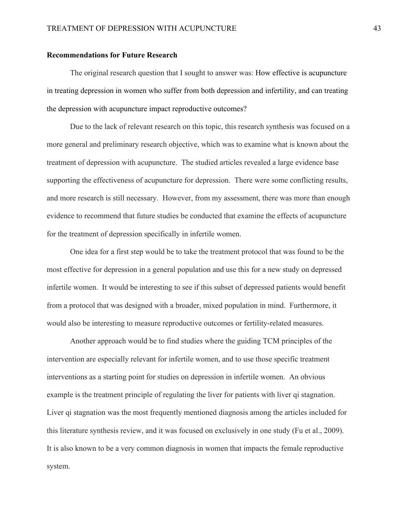#### **Recommendations for Future Research**

The original research question that I sought to answer was: How effective is acupuncture in treating depression in women who suffer from both depression and infertility, and can treating the depression with acupuncture impact reproductive outcomes?

Due to the lack of relevant research on this topic, this research synthesis was focused on a more general and preliminary research objective, which was to examine what is known about the treatment of depression with acupuncture. The studied articles revealed a large evidence base supporting the effectiveness of acupuncture for depression. There were some conflicting results, and more research is still necessary. However, from my assessment, there was more than enough evidence to recommend that future studies be conducted that examine the effects of acupuncture for the treatment of depression specifically in infertile women.

One idea for a first step would be to take the treatment protocol that was found to be the most effective for depression in a general population and use this for a new study on depressed infertile women. It would be interesting to see if this subset of depressed patients would benefit from a protocol that was designed with a broader, mixed population in mind. Furthermore, it would also be interesting to measure reproductive outcomes or fertility-related measures.

Another approach would be to find studies where the guiding TCM principles of the intervention are especially relevant for infertile women, and to use those specific treatment interventions as a starting point for studies on depression in infertile women. An obvious example is the treatment principle of regulating the liver for patients with liver qi stagnation. Liver qi stagnation was the most frequently mentioned diagnosis among the articles included for this literature synthesis review, and it was focused on exclusively in one study (Fu et al., 2009). It is also known to be a very common diagnosis in women that impacts the female reproductive system.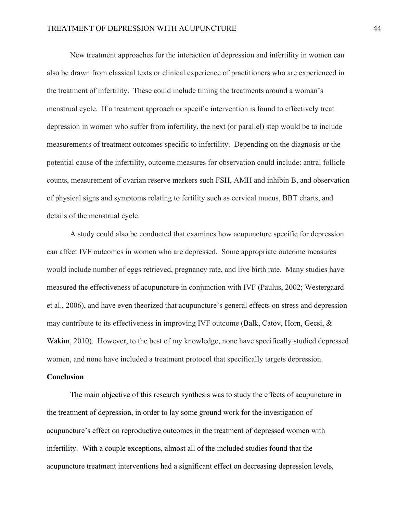New treatment approaches for the interaction of depression and infertility in women can also be drawn from classical texts or clinical experience of practitioners who are experienced in the treatment of infertility. These could include timing the treatments around a woman's menstrual cycle. If a treatment approach or specific intervention is found to effectively treat depression in women who suffer from infertility, the next (or parallel) step would be to include measurements of treatment outcomes specific to infertility. Depending on the diagnosis or the potential cause of the infertility, outcome measures for observation could include: antral follicle counts, measurement of ovarian reserve markers such FSH, AMH and inhibin B, and observation of physical signs and symptoms relating to fertility such as cervical mucus, BBT charts, and details of the menstrual cycle.

A study could also be conducted that examines how acupuncture specific for depression can affect IVF outcomes in women who are depressed. Some appropriate outcome measures would include number of eggs retrieved, pregnancy rate, and live birth rate. Many studies have measured the effectiveness of acupuncture in conjunction with IVF (Paulus, 2002; Westergaard et al., 2006), and have even theorized that acupuncture's general effects on stress and depression may contribute to its effectiveness in improving IVF outcome (Balk, Catov, Horn, Gecsi,  $\&$ Wakim, 2010). However, to the best of my knowledge, none have specifically studied depressed women, and none have included a treatment protocol that specifically targets depression.

#### **Conclusion**

The main objective of this research synthesis was to study the effects of acupuncture in the treatment of depression, in order to lay some ground work for the investigation of acupuncture's effect on reproductive outcomes in the treatment of depressed women with infertility. With a couple exceptions, almost all of the included studies found that the acupuncture treatment interventions had a significant effect on decreasing depression levels,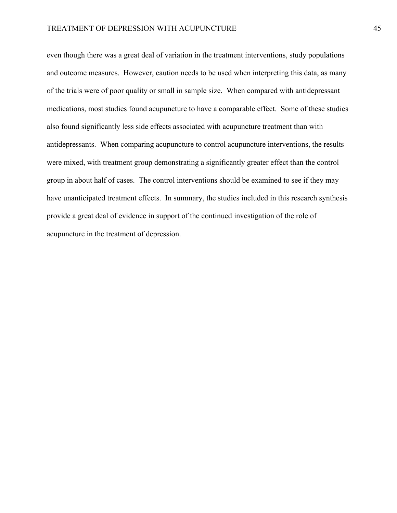even though there was a great deal of variation in the treatment interventions, study populations and outcome measures. However, caution needs to be used when interpreting this data, as many of the trials were of poor quality or small in sample size. When compared with antidepressant medications, most studies found acupuncture to have a comparable effect. Some of these studies also found significantly less side effects associated with acupuncture treatment than with antidepressants. When comparing acupuncture to control acupuncture interventions, the results were mixed, with treatment group demonstrating a significantly greater effect than the control group in about half of cases. The control interventions should be examined to see if they may have unanticipated treatment effects. In summary, the studies included in this research synthesis provide a great deal of evidence in support of the continued investigation of the role of acupuncture in the treatment of depression.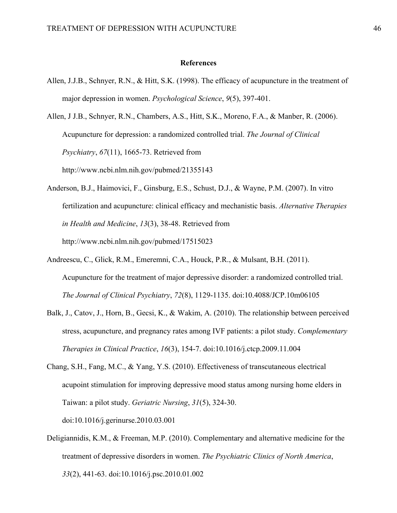#### **References**

Allen, J.J.B., Schnyer, R.N., & Hitt, S.K. (1998). The efficacy of acupuncture in the treatment of major depression in women. *Psychological Science*, *9*(5), 397-401.

Allen, J J.B., Schnyer, R.N., Chambers, A.S., Hitt, S.K., Moreno, F.A., & Manber, R. (2006). Acupuncture for depression: a randomized controlled trial. *The Journal of Clinical Psychiatry*, *67*(11), 1665-73. Retrieved from http://www.ncbi.nlm.nih.gov/pubmed/21355143

- Anderson, B.J., Haimovici, F., Ginsburg, E.S., Schust, D.J., & Wayne, P.M. (2007). In vitro fertilization and acupuncture: clinical efficacy and mechanistic basis. *Alternative Therapies in Health and Medicine*, *13*(3), 38-48. Retrieved from http://www.ncbi.nlm.nih.gov/pubmed/17515023
- Andreescu, C., Glick, R.M., Emeremni, C.A., Houck, P.R., & Mulsant, B.H. (2011). Acupuncture for the treatment of major depressive disorder: a randomized controlled trial. *The Journal of Clinical Psychiatry*, *72*(8), 1129-1135. doi:10.4088/JCP.10m06105
- Balk, J., Catov, J., Horn, B., Gecsi, K., & Wakim, A. (2010). The relationship between perceived stress, acupuncture, and pregnancy rates among IVF patients: a pilot study. *Complementary Therapies in Clinical Practice*, *16*(3), 154-7. doi:10.1016/j.ctcp.2009.11.004
- Chang, S.H., Fang, M.C., & Yang, Y.S. (2010). Effectiveness of transcutaneous electrical acupoint stimulation for improving depressive mood status among nursing home elders in Taiwan: a pilot study. *Geriatric Nursing*, *31*(5), 324-30. doi:10.1016/j.gerinurse.2010.03.001
- Deligiannidis, K.M., & Freeman, M.P. (2010). Complementary and alternative medicine for the treatment of depressive disorders in women. *The Psychiatric Clinics of North America*, *33*(2), 441-63. doi:10.1016/j.psc.2010.01.002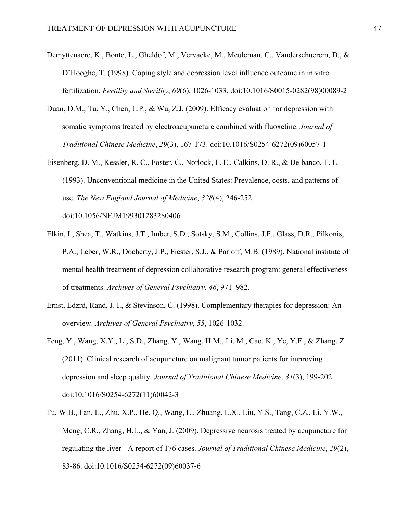- Demyttenaere, K., Bonte, L., Gheldof, M., Vervaeke, M., Meuleman, C., Vanderschuerem, D., & D'Hooghe, T. (1998). Coping style and depression level influence outcome in in vitro fertilization. *Fertility and Sterility*, *69*(6), 1026-1033. doi:10.1016/S0015-0282(98)00089-2
- Duan, D.M., Tu, Y., Chen, L.P., & Wu, Z.J. (2009). Efficacy evaluation for depression with somatic symptoms treated by electroacupuncture combined with fluoxetine. *Journal of Traditional Chinese Medicine*, *29*(3), 167-173. doi:10.1016/S0254-6272(09)60057-1
- Eisenberg, D. M., Kessler, R. C., Foster, C., Norlock, F. E., Calkins, D. R., & Delbanco, T. L. (1993). Unconventional medicine in the United States: Prevalence, costs, and patterns of use. *The New England Journal of Medicine*, *328*(4), 246-252.

doi:10.1056/NEJM199301283280406

- Elkin, I., Shea, T., Watkins, J.T., Imber, S.D., Sotsky, S.M., Collins, J.F., Glass, D.R., Pilkonis, P.A., Leber, W.R., Docherty, J.P., Fiester, S.J., & Parloff, M.B. (1989). National institute of mental health treatment of depression collaborative research program: general effectiveness of treatments. *Archives of General Psychiatry, 46*, 971–982.
- Ernst, Edzrd, Rand, J. I., & Stevinson, C. (1998). Complementary therapies for depression: An overview. *Archives of General Psychiatry*, *55*, 1026-1032.
- Feng, Y., Wang, X.Y., Li, S.D., Zhang, Y., Wang, H.M., Li, M., Cao, K., Ye, Y.F., & Zhang, Z. (2011). Clinical research of acupuncture on malignant tumor patients for improving depression and sleep quality. *Journal of Traditional Chinese Medicine*, *31*(3), 199-202. doi:10.1016/S0254-6272(11)60042-3
- Fu, W.B., Fan, L., Zhu, X.P., He, Q., Wang, L., Zhuang, L.X., Liu, Y.S., Tang, C.Z., Li, Y.W., Meng, C.R., Zhang, H.L., & Yan, J. (2009). Depressive neurosis treated by acupuncture for regulating the liver - A report of 176 cases. *Journal of Traditional Chinese Medicine*, *29*(2), 83-86. doi:10.1016/S0254-6272(09)60037-6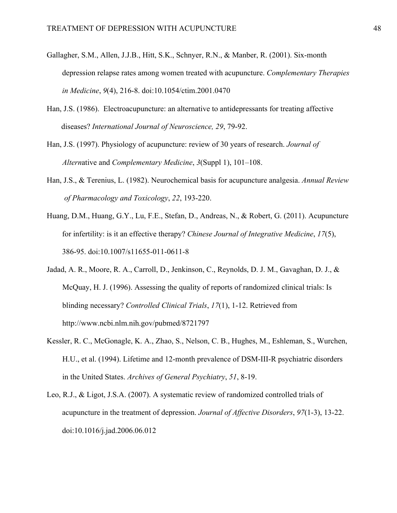- Gallagher, S.M., Allen, J.J.B., Hitt, S.K., Schnyer, R.N., & Manber, R. (2001). Six-month depression relapse rates among women treated with acupuncture. *Complementary Therapies in Medicine*, *9*(4), 216-8. doi:10.1054/ctim.2001.0470
- Han, J.S. (1986). Electroacupuncture: an alternative to antidepressants for treating affective diseases? *International Journal of Neuroscience, 29*, 79-92.
- Han, J.S. (1997). Physiology of acupuncture: review of 30 years of research. *Journal of Altern*ative and *Complementary Medicine*, *3*(Suppl 1), 101–108.
- Han, J.S., & Terenius, L. (1982). Neurochemical basis for acupuncture analgesia. *Annual Review of Pharmacology and Toxicology*, *22*, 193-220.
- Huang, D.M., Huang, G.Y., Lu, F.E., Stefan, D., Andreas, N., & Robert, G. (2011). Acupuncture for infertility: is it an effective therapy? *Chinese Journal of Integrative Medicine*, *17*(5), 386-95. doi:10.1007/s11655-011-0611-8
- Jadad, A. R., Moore, R. A., Carroll, D., Jenkinson, C., Reynolds, D. J. M., Gavaghan, D. J., & McQuay, H. J. (1996). Assessing the quality of reports of randomized clinical trials: Is blinding necessary? *Controlled Clinical Trials*, *17*(1), 1-12. Retrieved from http://www.ncbi.nlm.nih.gov/pubmed/8721797
- Kessler, R. C., McGonagle, K. A., Zhao, S., Nelson, C. B., Hughes, M., Eshleman, S., Wurchen, H.U., et al. (1994). Lifetime and 12-month prevalence of DSM-III-R psychiatric disorders in the United States. *Archives of General Psychiatry*, *51*, 8-19.
- Leo, R.J., & Ligot, J.S.A. (2007). A systematic review of randomized controlled trials of acupuncture in the treatment of depression. *Journal of Affective Disorders*, *97*(1-3), 13-22. doi:10.1016/j.jad.2006.06.012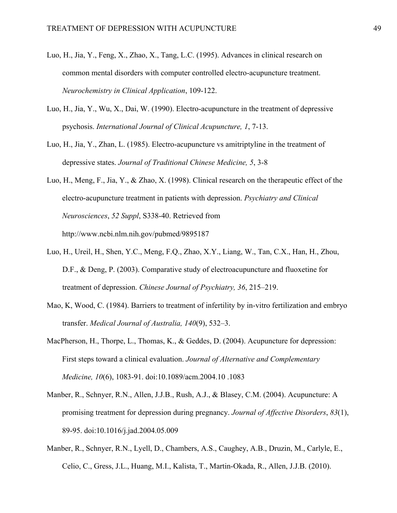- Luo, H., Jia, Y., Feng, X., Zhao, X., Tang, L.C. (1995). Advances in clinical research on common mental disorders with computer controlled electro-acupuncture treatment. *Neurochemistry in Clinical Application*, 109-122.
- Luo, H., Jia, Y., Wu, X., Dai, W. (1990). Electro-acupuncture in the treatment of depressive psychosis. *International Journal of Clinical Acupuncture, 1*, 7-13.
- Luo, H., Jia, Y., Zhan, L. (1985). Electro-acupuncture vs amitriptyline in the treatment of depressive states. *Journal of Traditional Chinese Medicine, 5*, 3-8
- Luo, H., Meng, F., Jia, Y., & Zhao, X. (1998). Clinical research on the therapeutic effect of the electro-acupuncture treatment in patients with depression. *Psychiatry and Clinical Neurosciences*, *52 Suppl*, S338-40. Retrieved from http://www.ncbi.nlm.nih.gov/pubmed/9895187
- Luo, H., Ureil, H., Shen, Y.C., Meng, F.Q., Zhao, X.Y., Liang, W., Tan, C.X., Han, H., Zhou, D.F., & Deng, P. (2003). Comparative study of electroacupuncture and fluoxetine for treatment of depression. *Chinese Journal of Psychiatry, 36*, 215–219.
- Mao, K, Wood, C. (1984). Barriers to treatment of infertility by in-vitro fertilization and embryo transfer. *Medical Journal of Australia, 140*(9), 532–3.
- MacPherson, H., Thorpe, L., Thomas, K., & Geddes, D. (2004). Acupuncture for depression: First steps toward a clinical evaluation. *Journal of Alternative and Complementary Medicine, 10*(6), 1083-91. doi:10.1089/acm.2004.10 .1083
- Manber, R., Schnyer, R.N., Allen, J.J.B., Rush, A.J., & Blasey, C.M. (2004). Acupuncture: A promising treatment for depression during pregnancy. *Journal of Affective Disorders*, *83*(1), 89-95. doi:10.1016/j.jad.2004.05.009
- Manber, R., Schnyer, R.N., Lyell, D., Chambers, A.S., Caughey, A.B., Druzin, M., Carlyle, E., Celio, C., Gress, J.L., Huang, M.I., Kalista, T., Martin-Okada, R., Allen, J.J.B. (2010).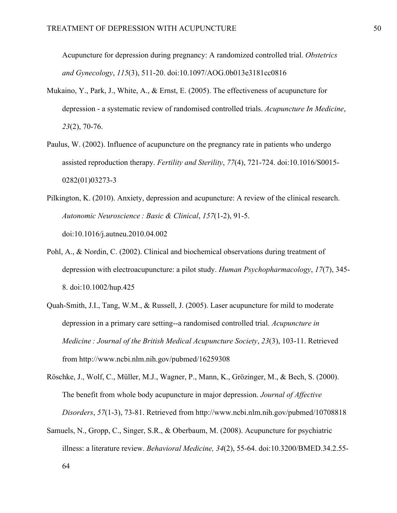Acupuncture for depression during pregnancy: A randomized controlled trial. *Obstetrics and Gynecology*, *115*(3), 511-20. doi:10.1097/AOG.0b013e3181cc0816

- Mukaino, Y., Park, J., White, A., & Ernst, E. (2005). The effectiveness of acupuncture for depression - a systematic review of randomised controlled trials. *Acupuncture In Medicine*, *23*(2), 70-76.
- Paulus, W. (2002). Influence of acupuncture on the pregnancy rate in patients who undergo assisted reproduction therapy. *Fertility and Sterility*, *77*(4), 721-724. doi:10.1016/S0015- 0282(01)03273-3
- Pilkington, K. (2010). Anxiety, depression and acupuncture: A review of the clinical research. *Autonomic Neuroscience : Basic & Clinical*, *157*(1-2), 91-5. doi:10.1016/j.autneu.2010.04.002
- Pohl, A., & Nordin, C. (2002). Clinical and biochemical observations during treatment of depression with electroacupuncture: a pilot study. *Human Psychopharmacology*, *17*(7), 345- 8. doi:10.1002/hup.425
- Quah-Smith, J.I., Tang, W.M., & Russell, J. (2005). Laser acupuncture for mild to moderate depression in a primary care setting--a randomised controlled trial. *Acupuncture in Medicine : Journal of the British Medical Acupuncture Society*, *23*(3), 103-11. Retrieved from http://www.ncbi.nlm.nih.gov/pubmed/16259308
- Röschke, J., Wolf, C., Müller, M.J., Wagner, P., Mann, K., Grözinger, M., & Bech, S. (2000). The benefit from whole body acupuncture in major depression. *Journal of Affective Disorders*, *57*(1-3), 73-81. Retrieved from http://www.ncbi.nlm.nih.gov/pubmed/10708818
- Samuels, N., Gropp, C., Singer, S.R., & Oberbaum, M. (2008). Acupuncture for psychiatric illness: a literature review. *Behavioral Medicine, 34*(2), 55-64. doi:10.3200/BMED.34.2.55-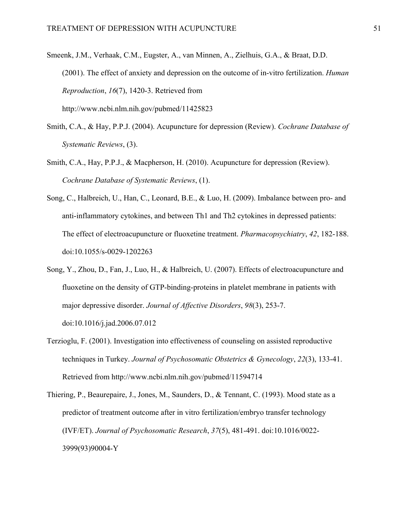- Smeenk, J.M., Verhaak, C.M., Eugster, A., van Minnen, A., Zielhuis, G.A., & Braat, D.D. (2001). The effect of anxiety and depression on the outcome of in-vitro fertilization. *Human Reproduction*, *16*(7), 1420-3. Retrieved from http://www.ncbi.nlm.nih.gov/pubmed/11425823
- Smith, C.A., & Hay, P.P.J. (2004). Acupuncture for depression (Review). *Cochrane Database of Systematic Reviews*, (3).
- Smith, C.A., Hay, P.P.J., & Macpherson, H. (2010). Acupuncture for depression (Review). *Cochrane Database of Systematic Reviews*, (1).
- Song, C., Halbreich, U., Han, C., Leonard, B.E., & Luo, H. (2009). Imbalance between pro- and anti-inflammatory cytokines, and between Th1 and Th2 cytokines in depressed patients: The effect of electroacupuncture or fluoxetine treatment. *Pharmacopsychiatry*, *42*, 182-188. doi:10.1055/s-0029-1202263
- Song, Y., Zhou, D., Fan, J., Luo, H., & Halbreich, U. (2007). Effects of electroacupuncture and fluoxetine on the density of GTP-binding-proteins in platelet membrane in patients with major depressive disorder. *Journal of Affective Disorders*, *98*(3), 253-7. doi:10.1016/j.jad.2006.07.012
- Terzioglu, F. (2001). Investigation into effectiveness of counseling on assisted reproductive techniques in Turkey. *Journal of Psychosomatic Obstetrics & Gynecology*, *22*(3), 133-41. Retrieved from http://www.ncbi.nlm.nih.gov/pubmed/11594714
- Thiering, P., Beaurepaire, J., Jones, M., Saunders, D., & Tennant, C. (1993). Mood state as a predictor of treatment outcome after in vitro fertilization/embryo transfer technology (IVF/ET). *Journal of Psychosomatic Research*, *37*(5), 481-491. doi:10.1016/0022- 3999(93)90004-Y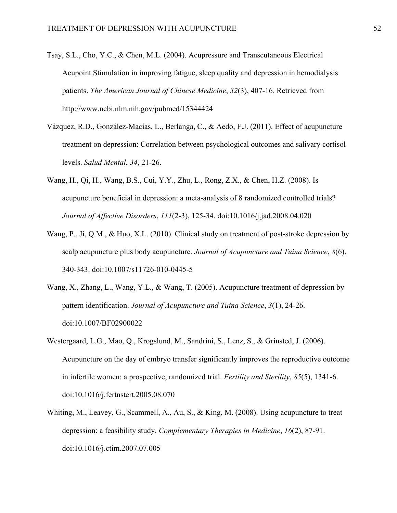- Tsay, S.L., Cho, Y.C., & Chen, M.L. (2004). Acupressure and Transcutaneous Electrical Acupoint Stimulation in improving fatigue, sleep quality and depression in hemodialysis patients. *The American Journal of Chinese Medicine*, *32*(3), 407-16. Retrieved from http://www.ncbi.nlm.nih.gov/pubmed/15344424
- Vázquez, R.D., González-Macías, L., Berlanga, C., & Aedo, F.J. (2011). Effect of acupuncture treatment on depression: Correlation between psychological outcomes and salivary cortisol levels. *Salud Mental*, *34*, 21-26.
- Wang, H., Qi, H., Wang, B.S., Cui, Y.Y., Zhu, L., Rong, Z.X., & Chen, H.Z. (2008). Is acupuncture beneficial in depression: a meta-analysis of 8 randomized controlled trials? *Journal of Affective Disorders*, *111*(2-3), 125-34. doi:10.1016/j.jad.2008.04.020
- Wang, P., Ji, Q.M., & Huo, X.L. (2010). Clinical study on treatment of post-stroke depression by scalp acupuncture plus body acupuncture. *Journal of Acupuncture and Tuina Science*, *8*(6), 340-343. doi:10.1007/s11726-010-0445-5
- Wang, X., Zhang, L., Wang, Y.L., & Wang, T. (2005). Acupuncture treatment of depression by pattern identification. *Journal of Acupuncture and Tuina Science*, *3*(1), 24-26. doi:10.1007/BF02900022
- Westergaard, L.G., Mao, Q., Krogslund, M., Sandrini, S., Lenz, S., & Grinsted, J. (2006). Acupuncture on the day of embryo transfer significantly improves the reproductive outcome in infertile women: a prospective, randomized trial. *Fertility and Sterility*, *85*(5), 1341-6. doi:10.1016/j.fertnstert.2005.08.070
- Whiting, M., Leavey, G., Scammell, A., Au, S., & King, M. (2008). Using acupuncture to treat depression: a feasibility study. *Complementary Therapies in Medicine*, *16*(2), 87-91. doi:10.1016/j.ctim.2007.07.005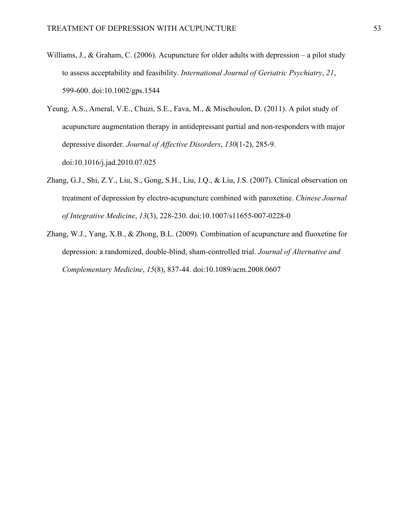Williams, J., & Graham, C. (2006). Acupuncture for older adults with depression – a pilot study to assess acceptability and feasibility. *International Journal of Geriatric Psychiatry*, *21*, 599-600. doi:10.1002/gps.1544

Yeung, A.S., Ameral, V.E., Chuzi, S.E., Fava, M., & Mischoulon, D. (2011). A pilot study of acupuncture augmentation therapy in antidepressant partial and non-responders with major depressive disorder. *Journal of Affective Disorders*, *130*(1-2), 285-9. doi:10.1016/j.jad.2010.07.025

- Zhang, G.J., Shi, Z.Y., Liu, S., Gong, S.H., Liu, J.Q., & Liu, J.S. (2007). Clinical observation on treatment of depression by electro-acupuncture combined with paroxetine. *Chinese Journal of Integrative Medicine*, *13*(3), 228-230. doi:10.1007/s11655-007-0228-0
- Zhang, W.J., Yang, X.B., & Zhong, B.L. (2009). Combination of acupuncture and fluoxetine for depression: a randomized, double-blind, sham-controlled trial. *Journal of Alternative and Complementary Medicine*, *15*(8), 837-44. doi:10.1089/acm.2008.0607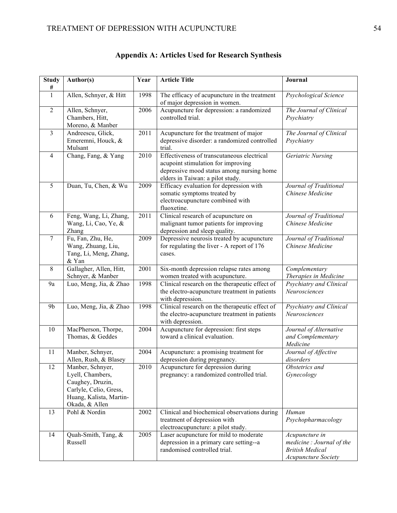| <b>Study</b><br># | Author(s)                                                                                                                       | Year | <b>Article Title</b>                                                                                                                                              | Journal                                                                                            |
|-------------------|---------------------------------------------------------------------------------------------------------------------------------|------|-------------------------------------------------------------------------------------------------------------------------------------------------------------------|----------------------------------------------------------------------------------------------------|
| 1                 | Allen, Schnyer, & Hitt                                                                                                          | 1998 | The efficacy of acupuncture in the treatment<br>of major depression in women.                                                                                     | Psychological Science                                                                              |
| $\overline{2}$    | Allen, Schnyer,<br>Chambers, Hitt,<br>Moreno, & Manber                                                                          | 2006 | Acupuncture for depression: a randomized<br>controlled trial.                                                                                                     | The Journal of Clinical<br>Psychiatry                                                              |
| $\overline{3}$    | Andreescu, Glick,<br>Emeremni, Houck, &<br>Mulsant                                                                              | 2011 | Acupuncture for the treatment of major<br>depressive disorder: a randomized controlled<br>trial.                                                                  | The Journal of Clinical<br>Psychiatry                                                              |
| $\overline{4}$    | Chang, Fang, & Yang                                                                                                             | 2010 | Effectiveness of transcutaneous electrical<br>acupoint stimulation for improving<br>depressive mood status among nursing home<br>elders in Taiwan: a pilot study. | Geriatric Nursing                                                                                  |
| 5                 | Duan, Tu, Chen, & Wu                                                                                                            | 2009 | Efficacy evaluation for depression with<br>somatic symptoms treated by<br>electroacupuncture combined with<br>fluoxetine.                                         | Journal of Traditional<br>Chinese Medicine                                                         |
| 6                 | Feng, Wang, Li, Zhang,<br>Wang, Li, Cao, Ye, &<br>Zhang                                                                         | 2011 | Clinical research of acupuncture on<br>malignant tumor patients for improving<br>depression and sleep quality.                                                    | Journal of Traditional<br>Chinese Medicine                                                         |
| 7                 | Fu, Fan, Zhu, He,<br>Wang, Zhuang, Liu,<br>Tang, Li, Meng, Zhang,<br>& Yan                                                      | 2009 | Depressive neurosis treated by acupuncture<br>for regulating the liver - A report of 176<br>cases.                                                                | Journal of Traditional<br>Chinese Medicine                                                         |
| 8                 | Gallagher, Allen, Hitt,<br>Schnyer, & Manber                                                                                    | 2001 | Six-month depression relapse rates among<br>women treated with acupuncture.                                                                                       | Complementary<br>Therapies in Medicine                                                             |
| 9a                | Luo, Meng, Jia, & Zhao                                                                                                          | 1998 | Clinical research on the therapeutic effect of<br>the electro-acupuncture treatment in patients<br>with depression.                                               | Psychiatry and Clinical<br>Neurosciences                                                           |
| 9 <sub>b</sub>    | Luo, Meng, Jia, & Zhao                                                                                                          | 1998 | Clinical research on the therapeutic effect of<br>the electro-acupuncture treatment in patients<br>with depression.                                               | Psychiatry and Clinical<br>Neurosciences                                                           |
| 10                | MacPherson, Thorpe,<br>Thomas, & Geddes                                                                                         | 2004 | Acupuncture for depression: first steps<br>toward a clinical evaluation.                                                                                          | Journal of Alternative<br>and Complementary<br>Medicine                                            |
| 11                | Manber, Schnyer,<br>Allen, Rush, & Blasey                                                                                       | 2004 | Acupuncture: a promising treatment for<br>depression during pregnancy.                                                                                            | Journal of Affective<br>disorders                                                                  |
| 12                | Manber, Schnyer,<br>Lyell, Chambers,<br>Caughey, Druzin,<br>Carlyle, Celio, Gress,<br>Huang, Kalista, Martin-<br>Okada, & Allen | 2010 | Acupuncture for depression during<br>pregnancy: a randomized controlled trial.                                                                                    | Obstetrics and<br>Gynecology                                                                       |
| 13                | Pohl & Nordin                                                                                                                   | 2002 | Clinical and biochemical observations during<br>treatment of depression with<br>electroacupuncture: a pilot study.                                                | Human<br>Psychopharmacology                                                                        |
| 14                | Quah-Smith, Tang, &<br>Russell                                                                                                  | 2005 | Laser acupuncture for mild to moderate<br>depression in a primary care setting--a<br>randomised controlled trial.                                                 | Acupuncture in<br>medicine: Journal of the<br><b>British Medical</b><br><b>Acupuncture Society</b> |

# **Appendix A: Articles Used for Research Synthesis**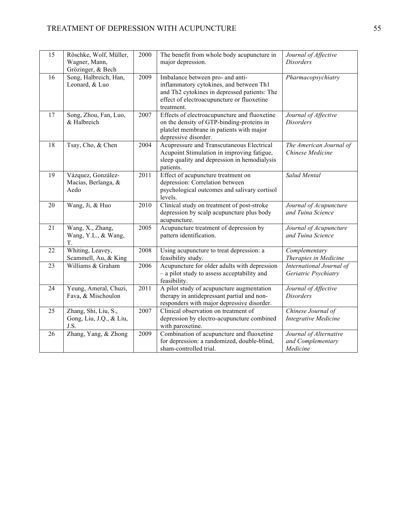| 15 | Röschke, Wolf, Müller,<br>Wagner, Mann,<br>Grözinger, & Bech | 2000 | The benefit from whole body acupuncture in<br>major depression.                                                                                                                         | Journal of Affective<br><b>Disorders</b>                |
|----|--------------------------------------------------------------|------|-----------------------------------------------------------------------------------------------------------------------------------------------------------------------------------------|---------------------------------------------------------|
| 16 | Song, Halbreich, Han,<br>Leonard, & Luo                      | 2009 | Imbalance between pro- and anti-<br>inflammatory cytokines, and between Th1<br>and Th2 cytokines in depressed patients: The<br>effect of electroacupuncture or fluoxetine<br>treatment. | Pharmacopsychiatry                                      |
| 17 | Song, Zhou, Fan, Luo,<br>& Halbreich                         | 2007 | Effects of electroacupuncture and fluoxetine<br>on the density of GTP-binding-proteins in<br>platelet membrane in patients with major<br>depressive disorder.                           | Journal of Affective<br><b>Disorders</b>                |
| 18 | Tsay, Cho, & Chen                                            | 2004 | Acupressure and Transcutaneous Electrical<br>Acupoint Stimulation in improving fatigue,<br>sleep quality and depression in hemodialysis<br>patients.                                    | The American Journal of<br>Chinese Medicine             |
| 19 | Vázquez, González-<br>Macías, Berlanga, &<br>Aedo            | 2011 | Effect of acupuncture treatment on<br>depression: Correlation between<br>psychological outcomes and salivary cortisol<br>levels.                                                        | Salud Mental                                            |
| 20 | Wang, Ji, & Huo                                              | 2010 | Clinical study on treatment of post-stroke<br>depression by scalp acupuncture plus body<br>acupuncture.                                                                                 | Journal of Acupuncture<br>and Tuina Science             |
| 21 | Wang, X., Zhang,<br>Wang, Y.L., & Wang,<br>T.                | 2005 | Acupuncture treatment of depression by<br>pattern identification.                                                                                                                       | Journal of Acupuncture<br>and Tuina Science             |
| 22 | Whiting, Leavey,<br>Scammell, Au, & King                     | 2008 | Using acupuncture to treat depression: a<br>feasibility study.                                                                                                                          | Complementary<br>Therapies in Medicine                  |
| 23 | Williams & Graham                                            | 2006 | Acupuncture for older adults with depression<br>- a pilot study to assess acceptability and<br>feasibility.                                                                             | International Journal of<br>Geriatric Psychiatry        |
| 24 | Yeung, Ameral, Chuzi,<br>Fava, & Mischoulon                  | 2011 | A pilot study of acupuncture augmentation<br>therapy in antidepressant partial and non-<br>responders with major depressive disorder.                                                   | Journal of Affective<br><b>Disorders</b>                |
| 25 | Zhang, Shi, Liu, S.,<br>Gong, Liu, J.Q., & Liu,<br>J.S.      | 2007 | Clinical observation on treatment of<br>depression by electro-acupuncture combined<br>with paroxetine.                                                                                  | Chinese Journal of<br><b>Integrative Medicine</b>       |
| 26 | Zhang, Yang, & Zhong                                         | 2009 | Combination of acupuncture and fluoxetine<br>for depression: a randomized, double-blind,<br>sham-controlled trial.                                                                      | Journal of Alternative<br>and Complementary<br>Medicine |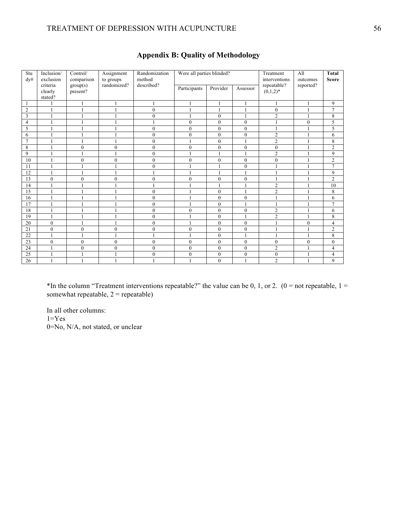#### TREATMENT OF DEPRESSION WITH ACUPUNCTURE 56

| Stu<br>dy#     | Inclusion/<br>exclusion        | Control/<br>comparison | Were all parties blinded?<br>Randomization<br>Assignment<br>method<br>to groups |                  |                |              |                |                            |              | Treatment<br>A11<br>interventions<br>outcomes |  | <b>Total</b><br><b>Score</b> |
|----------------|--------------------------------|------------------------|---------------------------------------------------------------------------------|------------------|----------------|--------------|----------------|----------------------------|--------------|-----------------------------------------------|--|------------------------------|
|                | criteria<br>clearly<br>stated? | group(s)<br>present?   | randomized?                                                                     | described?       | Participants   | Provider     | Assessor       | repeatable?<br>$(0,1,2)^*$ | reported?    |                                               |  |                              |
| -1             |                                | $\mathbf{1}$           |                                                                                 | 1                | 1              | $\mathbf{1}$ |                |                            | 1            | 9                                             |  |                              |
| $\overline{2}$ |                                |                        |                                                                                 | $\mathbf{0}$     |                | $\mathbf{1}$ |                | $\mathbf{0}$               | 1            | 7                                             |  |                              |
| $\overline{3}$ |                                |                        |                                                                                 | $\mathbf{0}$     |                | $\mathbf{0}$ |                | $\overline{2}$             |              | 8                                             |  |                              |
| $\overline{4}$ |                                |                        |                                                                                 | 1                | $\overline{0}$ | $\mathbf{0}$ | $\mathbf{0}$   |                            | $\mathbf{0}$ | 5                                             |  |                              |
| 5              |                                |                        |                                                                                 | $\mathbf{0}$     | $\theta$       | $\theta$     | $\theta$       |                            |              | 5                                             |  |                              |
| 6              |                                |                        |                                                                                 | $\mathbf{0}$     | $\mathbf{0}$   | $\mathbf{0}$ | $\mathbf{0}$   | $\overline{2}$             |              | 6                                             |  |                              |
| $\overline{7}$ |                                |                        |                                                                                 | $\mathbf{0}$     |                | $\mathbf{0}$ |                | $\overline{2}$             |              | 8                                             |  |                              |
| 8              |                                | $\mathbf{0}$           | $\theta$                                                                        | $\mathbf{0}$     | $\theta$       | $\theta$     | $\theta$       | $\mathbf{0}$               |              | $\overline{c}$                                |  |                              |
| 9              | $\mathbf{1}$                   | $\mathbf{1}$           |                                                                                 | $\mathbf{0}$     | 1              | $\mathbf{1}$ |                | $\overline{2}$             |              | 9                                             |  |                              |
| 10             |                                | $\mathbf{0}$           | $\theta$                                                                        | $\mathbf{0}$     | $\mathbf{0}$   | $\mathbf{0}$ | $\mathbf{0}$   | $\mathbf{0}$               |              | $\overline{c}$                                |  |                              |
| 11             |                                |                        |                                                                                 | $\mathbf{0}$     |                | 1            | $\overline{0}$ |                            |              | $\overline{7}$                                |  |                              |
| 12             |                                |                        |                                                                                 |                  |                |              |                |                            |              | 9                                             |  |                              |
| 13             | $\overline{0}$                 | $\mathbf{0}$           | $\theta$                                                                        | $\boldsymbol{0}$ | $\mathbf{0}$   | $\mathbf{0}$ | $\mathbf{0}$   |                            |              | $\overline{c}$                                |  |                              |
| 14             |                                |                        |                                                                                 |                  |                | 1            |                | $\overline{2}$             |              | 10                                            |  |                              |
| 15             |                                |                        |                                                                                 | $\mathbf{0}$     |                | $\theta$     |                | $\overline{2}$             |              | 8                                             |  |                              |
| 16             |                                |                        |                                                                                 | $\mathbf{0}$     |                | $\mathbf{0}$ | $\mathbf{0}$   |                            |              | 6                                             |  |                              |
| 17             |                                |                        |                                                                                 | $\mathbf{0}$     |                | $\mathbf{0}$ |                |                            |              | 7                                             |  |                              |
| 18             |                                |                        |                                                                                 | $\overline{0}$   | $\mathbf{0}$   | $\mathbf{0}$ | $\overline{0}$ | $\overline{2}$             |              | 6                                             |  |                              |
| 19             |                                |                        |                                                                                 | $\mathbf{0}$     |                | $\mathbf{0}$ |                | $\overline{2}$             |              | 8                                             |  |                              |
| 20             | $\theta$                       |                        |                                                                                 | $\mathbf{0}$     |                | $\theta$     | $\theta$       |                            | $\theta$     | 4                                             |  |                              |
| 21             | $\overline{0}$                 | $\mathbf{0}$           | $\theta$                                                                        | $\mathbf{0}$     | $\overline{0}$ | $\mathbf{0}$ | $\mathbf{0}$   |                            |              | $\overline{\mathbf{c}}$                       |  |                              |
| 22             |                                |                        |                                                                                 |                  |                | $\mathbf{0}$ |                |                            |              | 8                                             |  |                              |
| 23             | $\overline{0}$                 | $\mathbf{0}$           | $\mathbf{0}$                                                                    | $\boldsymbol{0}$ | $\mathbf{0}$   | $\mathbf{0}$ | $\overline{0}$ | $\mathbf{0}$               | $\mathbf{0}$ | $\boldsymbol{0}$                              |  |                              |
| 24             |                                | $\mathbf{0}$           | $\theta$                                                                        | $\mathbf{0}$     | $\mathbf{0}$   | $\mathbf{0}$ | $\theta$       | $\overline{2}$             |              | 4                                             |  |                              |
| 25             |                                |                        |                                                                                 | $\mathbf{0}$     | $\theta$       | $\mathbf{0}$ | $\mathbf{0}$   | $\mathbf{0}$               |              | 4                                             |  |                              |
| 26             |                                |                        |                                                                                 | $\overline{1}$   |                | $\mathbf{0}$ |                | $\overline{2}$             |              | 9                                             |  |                              |

### **Appendix B: Quality of Methodology**

\*In the column "Treatment interventions repeatable?" the value can be 0, 1, or 2. ( $0 =$  not repeatable,  $1 =$ somewhat repeatable,  $2$  = repeatable)

In all other columns:  $1 = Yes$ 0=No, N/A, not stated, or unclear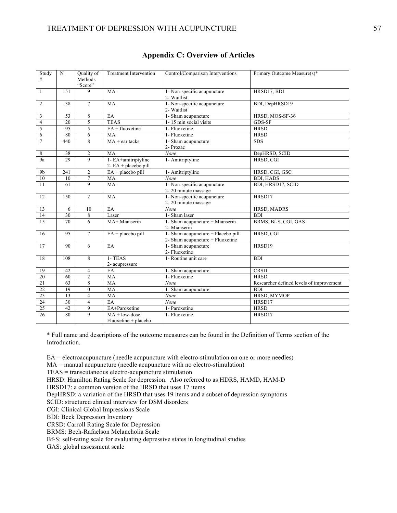| Study          | N               | Quality of         | <b>Treatment Intervention</b>                  | Control/Comparison Interventions                | Primary Outcome Measure(s)*              |
|----------------|-----------------|--------------------|------------------------------------------------|-------------------------------------------------|------------------------------------------|
| $\#$           |                 | Methods<br>"Score" |                                                |                                                 |                                          |
| $\mathbf{1}$   | 151             | $\mathbf{Q}$       | MA                                             | 1- Non-specific acupuncture<br>2- Waitlist      | HRSD17, BDI                              |
| $\overline{2}$ | 38              | $7\phantom{.0}$    | MA                                             | 1- Non-specific acupuncture                     | BDI, DepHRSD19                           |
|                |                 |                    |                                                | 2- Waitlist                                     |                                          |
| 3              | 53              | 8                  | EA                                             | 1- Sham acupuncture                             | HRSD, MOS-SF-36                          |
| $\overline{4}$ | $\overline{20}$ | 5                  | <b>TEAS</b>                                    | 1-15 min social visits                          | $GDS-SF$                                 |
| $\sqrt{5}$     | 95              | 5                  | EA + fluoxetine                                | 1- Fluoxetine                                   | <b>HRSD</b>                              |
| 6              | 80              | 6                  | MA                                             | 1- Fluoxetine                                   | <b>HRSD</b>                              |
| $\tau$         | 440             | 8                  | $MA + ear$ tacks                               | 1- Sham acupuncture                             | <b>SDS</b>                               |
|                |                 |                    |                                                | 2- Prozac                                       |                                          |
| 8              | 38              | $\overline{2}$     | MA                                             | None                                            | DepHRSD, SCID                            |
| 9a             | 29              | $\mathbf{Q}$       | 1- EA+amitriptyline<br>$2 - EA + placebo$ pill | 1- Amitriptyline                                | HRSD, CGI                                |
| 9 <sub>b</sub> | 241             | $\overline{c}$     | $EA + placebo$ pill                            | 1- Amitriptyline                                | HRSD, CGI, GSC                           |
| 10             | 10              | $\overline{7}$     | MA                                             | None                                            | <b>BDI. HADS</b>                         |
| 11             | 61              | 9                  | <b>MA</b>                                      | 1- Non-specific acupuncture                     | BDI, HRSD17, SCID                        |
|                |                 |                    |                                                | 2-20 minute massage                             |                                          |
| 12             | 150             | 2                  | MA                                             | 1- Non-specific acupuncture                     | HRSD17                                   |
|                |                 |                    |                                                | 2-20 minute massage                             |                                          |
| 13             | 6               | 10                 | EA                                             | None                                            | HRSD, MADRS                              |
| 14             | 30              | $\,$ 8 $\,$        | Laser                                          | 1- Sham laser                                   | <b>BDI</b>                               |
| 15             | 70              | 6                  | MA+ Mianserin                                  | 1- Sham acupuncture + Mianserin<br>2- Mianserin | BRMS, Bf-S, CGI, GAS                     |
| 16             | 95              | $\overline{7}$     | $EA + placebo$ pill                            | 1- Sham acupuncture + Placebo pill              | HRSD, CGI                                |
|                |                 |                    |                                                | 2- Sham acupuncture + Fluoxetine                |                                          |
| 17             | 90              | 6                  | EA                                             | 1- Sham acupuncture                             | HRSD19                                   |
|                |                 |                    |                                                | 2- Fluoxetine                                   |                                          |
| 18             | 108             | 8                  | 1- TEAS                                        | 1- Routine unit care                            | <b>BDI</b>                               |
|                |                 |                    | 2- acupressure                                 |                                                 |                                          |
| 19             | 42              | 4                  | EA                                             | 1- Sham acupuncture                             | <b>CRSD</b>                              |
| 20             | 60              | $\overline{2}$     | MA                                             | 1- Fluoxetine                                   | <b>HRSD</b>                              |
| 21             | 63              | $\,8\,$            | <b>MA</b>                                      | None                                            | Researcher defined levels of improvement |
| 22             | 19              | $\theta$           | MA                                             | 1- Sham acupuncture                             | <b>BDI</b>                               |
| 23             | 13              | $\overline{4}$     | MA                                             | None                                            | HRSD, MYMOP                              |
| 24             | 30              | $\overline{4}$     | EA                                             | None                                            | HRSD17                                   |
| 25             | 42              | 9                  | EA+Paroxetine                                  | 1- Paroxetine                                   | <b>HRSD</b>                              |
| 26             | 80              | 9                  | $MA + low-dose$                                | 1- Fluoxetine                                   | HRSD17                                   |
|                |                 |                    | $Fluoxetime + placebo$                         |                                                 |                                          |

#### **Appendix C: Overview of Articles**

\* Full name and descriptions of the outcome measures can be found in the Definition of Terms section of the Introduction.

EA = electroacupuncture (needle acupuncture with electro-stimulation on one or more needles)

 $MA =$  manual acupuncture (needle acupuncture with no electro-stimulation)

TEAS = transcutaneous electro-acupuncture stimulation

HRSD: Hamilton Rating Scale for depression. Also referred to as HDRS, HAMD, HAM-D

HRSD17: a common version of the HRSD that uses 17 items

DepHRSD: a variation of the HRSD that uses 19 items and a subset of depression symptoms

SCID: structured clinical interview for DSM disorders

CGI: Clinical Global Impressions Scale

BDI: Beck Depression Inventory

CRSD: Carroll Rating Scale for Depression

BRMS: Bech-Rafaelson Melancholia Scale

Bf-S: self-rating scale for evaluating depressive states in longitudinal studies

GAS: global assessment scale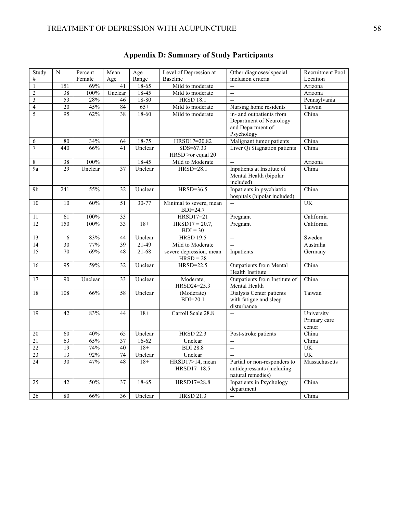| Study                   | $\mathbf N$     | Percent | Mean            | Age       | Level of Depression at                 | Other diagnoses/ special                                                               | Recruitment Pool                     |
|-------------------------|-----------------|---------|-----------------|-----------|----------------------------------------|----------------------------------------------------------------------------------------|--------------------------------------|
| $\#$                    |                 | Female  | Age             | Range     | Baseline                               | inclusion criteria                                                                     | Location                             |
| $\,1$                   | 151             | 69%     | 41              | $18-65$   | Mild to moderate                       | $\overline{a}$                                                                         | Arizona                              |
| $\overline{2}$          | $\overline{38}$ | 100%    | Unclear         | $18-45$   | Mild to moderate                       | $\overline{a}$                                                                         | Arizona                              |
| $\overline{\mathbf{3}}$ | 53              | 28%     | 46              | 18-80     | <b>HRSD 18.1</b>                       | $\overline{a}$                                                                         | Pennsylvania                         |
| $\overline{4}$          | $\overline{20}$ | 45%     | 84              | $65+$     | Mild to moderate                       | Nursing home residents                                                                 | Taiwan                               |
| 5                       | $\overline{95}$ | 62%     | 38              | $18-60$   | Mild to moderate                       | in- and outpatients from<br>Department of Neurology<br>and Department of<br>Psychology | China                                |
| 6                       | 80              | 34%     | 64              | 18-75     | HRSD17=20.82                           | Malignant tumor patients                                                               | China                                |
| $\boldsymbol{7}$        | 440             | 66%     | 41              | Unclear   | SDS=67.33<br>HRSD > or equal 20        | Liver Qi Stagnation patients                                                           | China                                |
| 8                       | 38              | 100%    |                 | $18-45$   | Mild to Moderate                       | $\overline{a}$                                                                         | Arizona                              |
| 9a                      | 29              | Unclear | 37              | Unclear   | $HRSD = 28.1$                          | Inpatients at Institute of<br>Mental Health (bipolar<br>included)                      | China                                |
| 9 <sub>b</sub>          | 241             | 55%     | 32              | Unclear   | $HRSD=36.5$                            | Inpatients in psychiatric<br>hospitals (bipolar included)                              | China                                |
| $\overline{10}$         | 10              | 60%     | $\overline{51}$ | $30 - 77$ | Minimal to severe, mean<br>BDI=24.7    | Ξ.                                                                                     | <b>UK</b>                            |
| 11                      | 61              | 100%    | 33              |           | HRSD17=21                              | Pregnant                                                                               | California                           |
| 12                      | 150             | $100\%$ | 33              | $18+$     | $HRSD17 = 20.7$ ,<br>$BDI = 30$        | Pregnant                                                                               | California                           |
| 13                      | 6               | 83%     | 44              | Unclear   | <b>HRSD 19.5</b>                       | Щ.                                                                                     | Sweden                               |
| 14                      | 30              | 77%     | 39              | $21-49$   | Mild to Moderate                       | $\overline{a}$                                                                         | Australia                            |
| 15                      | 70              | 69%     | 48              | $21-68$   | severe depression, mean<br>$HRSD = 28$ | Inpatients                                                                             | Germany                              |
| 16                      | 95              | 59%     | 32              | Unclear   | HRSD=22.5                              | <b>Outpatients from Mental</b><br>Health Institute                                     | China                                |
| 17                      | 90              | Unclear | 33              | Unclear   | Moderate,<br>HRSD24=25.3               | Outpatients from Institute of<br>Mental Health                                         | China                                |
| $\overline{18}$         | 108             | 66%     | 58              | Unclear   | (Moderate)<br>$BDI=20.1$               | Dialysis Center patients<br>with fatigue and sleep<br>disturbance                      | Taiwan                               |
| 19                      | 42              | 83%     | 44              | $18+$     | Carroll Scale 28.8                     | $\overline{a}$                                                                         | University<br>Primary care<br>center |
| $20\,$                  | 60              | 40%     | 65              | Unclear   | <b>HRSD 22.3</b>                       | Post-stroke patients                                                                   | China                                |
| $\overline{21}$         | 63              | 65%     | 37              | 16-62     | Unclear                                | ÷.                                                                                     | China                                |
| $\overline{22}$         | $\overline{19}$ | 74%     | 40              | $18+$     | <b>BDI 28.8</b>                        | Ξ.                                                                                     | <b>UK</b>                            |
| 23                      | 13              | 92%     | $74\,$          | Unclear   | Unclear                                | $\overline{a}$                                                                         | UK                                   |
| 24                      | 30              | 47%     | 48              | $18+$     | HRSD17>14, mean<br>$HRSD17=18.5$       | Partial or non-responders to<br>antidepressants (including<br>natural remedies)        | Massachusetts                        |
| 25                      | 42              | 50%     | 37              | 18-65     | HRSD17=28.8                            | Inpatients in Psychology<br>department                                                 | China                                |
| 26                      | 80              | 66%     | 36              | Unclear   | <b>HRSD 21.3</b>                       | $\overline{\phantom{a}}$                                                               | China                                |

# **Appendix D: Summary of Study Participants**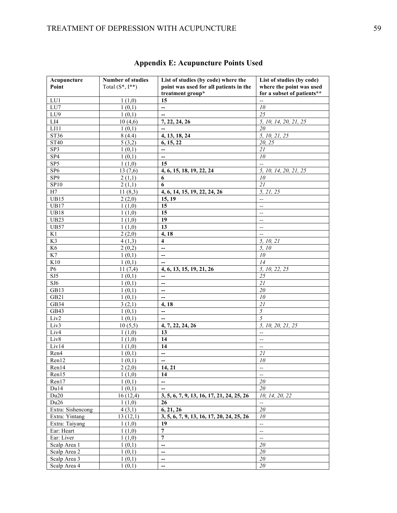| Total $(S^*, I^{**})$<br>point was used for all patients in the<br>where the point was used<br>Point<br>treatment group*<br>for a subset of patients**<br>15<br>LU1<br>1(1,0)<br>$\overline{\phantom{a}}$<br>LU7<br>1(0,1)<br>10<br>--<br>LU9<br>1(0,1)<br>25<br>$\overline{\phantom{0}}$<br>LI4<br>10(4,6)<br>5, 10, 14, 20, 21, 25<br>7, 22, 24, 26 |  |
|-------------------------------------------------------------------------------------------------------------------------------------------------------------------------------------------------------------------------------------------------------------------------------------------------------------------------------------------------------|--|
|                                                                                                                                                                                                                                                                                                                                                       |  |
|                                                                                                                                                                                                                                                                                                                                                       |  |
|                                                                                                                                                                                                                                                                                                                                                       |  |
|                                                                                                                                                                                                                                                                                                                                                       |  |
|                                                                                                                                                                                                                                                                                                                                                       |  |
| LI1<br>20<br>1(0,1)                                                                                                                                                                                                                                                                                                                                   |  |
| ST36<br>5, 10, 21, 25<br>8(4.4)<br>4, 13, 18, 24                                                                                                                                                                                                                                                                                                      |  |
| <b>ST40</b><br>20, 25<br>5(3,2)<br>6, 15, 22                                                                                                                                                                                                                                                                                                          |  |
| 21<br>SP3<br>1(0,1)<br>$\overline{\phantom{0}}$                                                                                                                                                                                                                                                                                                       |  |
| SP <sub>4</sub><br>$10\,$<br>1(0,1)<br>--                                                                                                                                                                                                                                                                                                             |  |
| SP5<br>1(1,0)<br>15<br>$\overline{a}$                                                                                                                                                                                                                                                                                                                 |  |
| SP <sub>6</sub><br>13(7,6)<br>5, 10, 14, 20, 21, 25<br>4, 6, 15, 18, 19, 22, 24                                                                                                                                                                                                                                                                       |  |
| SP <sub>9</sub><br>10<br>2(1,1)<br>6                                                                                                                                                                                                                                                                                                                  |  |
| 21<br>SP10<br>6<br>2(1,1)                                                                                                                                                                                                                                                                                                                             |  |
| 11(8,3)<br>H7<br>4, 6, 14, 15, 19, 22, 24, 26<br>5, 21, 25                                                                                                                                                                                                                                                                                            |  |
| UB15<br>2(2,0)<br>15, 19<br>$-$                                                                                                                                                                                                                                                                                                                       |  |
| UB17<br>1(1,0)<br>15<br>$\overline{a}$                                                                                                                                                                                                                                                                                                                |  |
| <b>UB18</b><br>15<br>1(1,0)<br>$\overline{\phantom{m}}$                                                                                                                                                                                                                                                                                               |  |
| 19<br><b>UB23</b><br>1(1,0)<br>$\overline{\phantom{a}}$                                                                                                                                                                                                                                                                                               |  |
| 13<br><b>UB57</b><br>1(1,0)<br>$-$                                                                                                                                                                                                                                                                                                                    |  |
| K1<br>2(2,0)<br>4, 18<br>$\overline{\phantom{a}}$                                                                                                                                                                                                                                                                                                     |  |
| K3<br>$\overline{\mathbf{4}}$<br>5, 10, 21<br>4(1,3)                                                                                                                                                                                                                                                                                                  |  |
| K <sub>6</sub><br>5, 10<br>2(0,2)<br>--                                                                                                                                                                                                                                                                                                               |  |
| K7<br>1(0,1)<br>10<br>--                                                                                                                                                                                                                                                                                                                              |  |
| K10<br>14<br>1(0,1)<br>$\overline{\phantom{a}}$                                                                                                                                                                                                                                                                                                       |  |
| 5, 10, 22, 25<br>P6<br>11(7,4)<br>4, 6, 13, 15, 19, 21, 26                                                                                                                                                                                                                                                                                            |  |
| SJ5<br>25<br>1(0,1)<br>$\overline{a}$                                                                                                                                                                                                                                                                                                                 |  |
| SJ6<br>21<br>1(0,1)<br>$\overline{\phantom{a}}$                                                                                                                                                                                                                                                                                                       |  |
| GB13<br>$2\mathit{0}$<br>1(0,1)<br>--                                                                                                                                                                                                                                                                                                                 |  |
| 10<br>GB21<br>1(0,1)<br>$\overline{\phantom{0}}$                                                                                                                                                                                                                                                                                                      |  |
| 21<br>GB34<br>3(2,1)<br>4,18                                                                                                                                                                                                                                                                                                                          |  |
| $\overline{5}$<br>$\overline{a}$<br>GB43<br>1(0,1)                                                                                                                                                                                                                                                                                                    |  |
| 5<br>Liv2<br>1(0,1)<br>$\overline{a}$                                                                                                                                                                                                                                                                                                                 |  |
| Liv3<br>10(5,5)<br>4, 7, 22, 24, 26<br>5, 10, 20, 21, 25                                                                                                                                                                                                                                                                                              |  |
| Liv4<br>1(1,0)<br>13<br>$\overline{\phantom{a}}$                                                                                                                                                                                                                                                                                                      |  |
| Liv8<br>1(1,0)<br>14<br>$\overline{\phantom{a}}$                                                                                                                                                                                                                                                                                                      |  |
| Liv14<br>1(1,0)<br>14<br>$\overline{\phantom{a}}$                                                                                                                                                                                                                                                                                                     |  |
| Ren4<br>1(0,1)<br>$\overline{a}$<br>21                                                                                                                                                                                                                                                                                                                |  |
| Ren12<br>10<br>1(0,1)<br>$\overline{\phantom{a}}$                                                                                                                                                                                                                                                                                                     |  |
| Ren14<br>2(2,0)<br>14, 21<br>$\overline{\phantom{a}}$                                                                                                                                                                                                                                                                                                 |  |
| Ren15<br>1(1,0)<br>14<br>$\overline{\phantom{m}}$                                                                                                                                                                                                                                                                                                     |  |
| 20<br>Ren17<br>1(0,1)<br>20                                                                                                                                                                                                                                                                                                                           |  |
| Du14<br>1(0,1)                                                                                                                                                                                                                                                                                                                                        |  |
| Du20<br>16(12,4)<br>3, 5, 6, 7, 9, 13, 16, 17, 21, 24, 25, 26<br>10, 14, 20, 22<br>Du26                                                                                                                                                                                                                                                               |  |
| 1(1,0)<br>26<br>$\overline{\phantom{a}}$<br>6, 21, 26<br>Extra: Sishencong<br>20<br>4(3,1)                                                                                                                                                                                                                                                            |  |
| Extra: Yintang<br>13(12,1)<br>3, 5, 6, 7, 9, 13, 16, 17, 20, 24, 25, 26<br>10                                                                                                                                                                                                                                                                         |  |
| Extra: Taiyang<br>19<br>1(1,0)<br>$\overline{\phantom{a}}$                                                                                                                                                                                                                                                                                            |  |
| Ear: Heart<br>$\overline{7}$<br>1(1,0)                                                                                                                                                                                                                                                                                                                |  |
| $\overline{\phantom{a}}$<br>$\overline{7}$<br>Ear: Liver<br>1(1,0)                                                                                                                                                                                                                                                                                    |  |
| $\overline{\phantom{a}}$<br>1(0,1)<br>20<br>Scalp Area 1<br>$\overline{\phantom{0}}$                                                                                                                                                                                                                                                                  |  |
| 20<br>Scalp Area 2<br>1(0,1)<br>—                                                                                                                                                                                                                                                                                                                     |  |
| 20<br>Scalp Area 3<br>$\overline{a}$<br>1(0,1)                                                                                                                                                                                                                                                                                                        |  |
| 20<br>Scalp Area 4<br>1(0,1)<br>$\overline{\phantom{a}}$                                                                                                                                                                                                                                                                                              |  |

# **Appendix E: Acupuncture Points Used**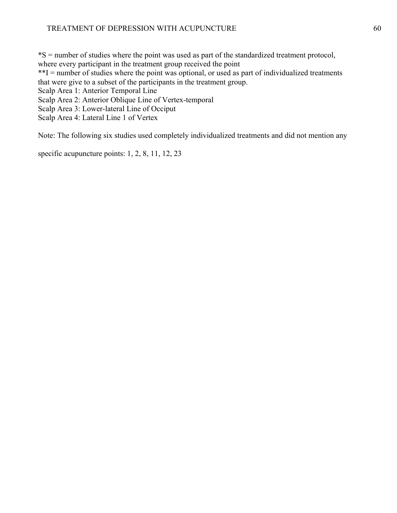\*S = number of studies where the point was used as part of the standardized treatment protocol,

where every participant in the treatment group received the point

\*\*I = number of studies where the point was optional, or used as part of individualized treatments that were give to a subset of the participants in the treatment group.

Scalp Area 1: Anterior Temporal Line

Scalp Area 2: Anterior Oblique Line of Vertex-temporal

Scalp Area 3: Lower-lateral Line of Occiput

Scalp Area 4: Lateral Line 1 of Vertex

Note: The following six studies used completely individualized treatments and did not mention any

specific acupuncture points: 1, 2, 8, 11, 12, 23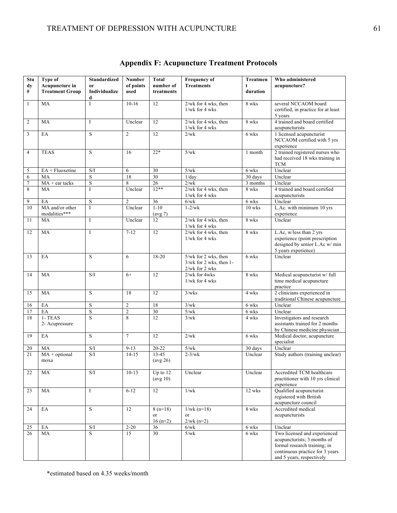| Stu<br>dy      | Type of<br>Acupuncture in  | <b>Standardized</b><br><sub>or</sub>              | <b>Number</b><br>of points | <b>Total</b><br>number of | <b>Frequency of</b><br><b>Treatments</b>     | Treatmen<br>t         | Who administered<br>acupuncture?                               |
|----------------|----------------------------|---------------------------------------------------|----------------------------|---------------------------|----------------------------------------------|-----------------------|----------------------------------------------------------------|
| $\#$           | <b>Treatment Group</b>     | Individualize                                     | used                       | treatments                |                                              | duration              |                                                                |
|                |                            | d                                                 |                            |                           |                                              |                       |                                                                |
| $\mathbf{1}$   | MA                         | I                                                 | $10 - 16$                  | 12                        | $2$ /wk for 4 wks, then                      | 8 wks                 | several NCCAOM board                                           |
|                |                            |                                                   |                            |                           | $1$ /wk for 4 wks                            |                       | certified, in practice for at least                            |
|                |                            |                                                   |                            |                           |                                              |                       | 5 years                                                        |
| $\overline{c}$ | MA                         | I                                                 | Unclear                    | 12                        | $2$ /wk for 4 wks, then<br>$1$ /wk for 4 wks | 8 wks                 | 4 trained and board certified<br>acupuncturists                |
| 3              | EA                         | S                                                 | $\overline{c}$             | 12                        | 2/wk                                         | 6 wks                 | 1 licensed acupuncturist                                       |
|                |                            |                                                   |                            |                           |                                              |                       | NCCAOM certified with 5 yrs                                    |
|                |                            |                                                   |                            |                           |                                              |                       | experience                                                     |
| $\overline{4}$ | <b>TEAS</b>                | S                                                 | 16                         | $22*$                     | 5/wk                                         | 1 month               | 2 trained registered nurses who                                |
|                |                            |                                                   |                            |                           |                                              |                       | had received 18 wks training in<br><b>TCM</b>                  |
| 5              | $EA$ + Fluoxetine          | S/I                                               | 6                          | 30                        | 5/wk                                         | 6 wks                 | Unclear                                                        |
| 6              | MA                         | $\mathbf S$                                       | 18                         | $\overline{30}$           | 1/day                                        | 30 days               | Unclear                                                        |
| $\tau$         | $MA + ear$ tacks           | $\overline{\mathbf{S}}$                           | 8                          | $\overline{26}$           | 2/wk                                         | $\overline{3}$ months | Unclear                                                        |
| 8              | MA                         | I                                                 | Unclear                    | $12**$                    | 2/wk for 4 wks, then                         | 8 wks                 | 4 trained and board certified                                  |
|                |                            |                                                   |                            |                           | $1$ /wk for 4 wks                            |                       | acupuncturists                                                 |
| 9              | EA                         | $\mathbf S$                                       | $\overline{c}$             | 36                        | $6$ /w $k$                                   | 6 wks                 | Unclear                                                        |
| 10             | MA and/or other            | I                                                 | Unclear                    | $1 - 10$                  | $1-2/wk$                                     | 10 wks                | L.Ac. with minimum 10 yrs                                      |
| 11             | modalities***<br>MA        | I                                                 | Unclear                    | $(\text{avg } 7)$<br>12   | $2$ /wk for 4 wks, then                      | 8 wks                 | experience<br>Unclear                                          |
|                |                            |                                                   |                            |                           | 1/wk for 4 wks                               |                       |                                                                |
| 12             | MA                         | I                                                 | $7 - 12$                   | 12                        | $2$ /wk for 4 wks, then                      | 8 wks                 | L.Ac, w/less than 2 yrs                                        |
|                |                            |                                                   |                            |                           | $1$ /wk for 4 wks                            |                       | experience (point prescription                                 |
|                |                            |                                                   |                            |                           |                                              |                       | designed by senior L.Ac w/min                                  |
| 13             | EA                         | S                                                 | 6                          | 18-20                     | 5/wk for 2 wks, then                         | 6 wks                 | 5 years experience)<br>Unclear                                 |
|                |                            |                                                   |                            |                           | $3$ /wk for 2 wks, then 1-                   |                       |                                                                |
|                |                            |                                                   |                            |                           | 2/wk for 2 wks                               |                       |                                                                |
| 14             | MA                         | S/I                                               | $6+$                       | 12                        | 2/wk for 4wks                                | 8 wks                 | Medical acupuncturist w/ full                                  |
|                |                            |                                                   |                            |                           | $1$ /wk for 4 wks                            |                       | time medical acupuncture                                       |
|                |                            |                                                   |                            |                           |                                              |                       | practice                                                       |
| 15             | <b>MA</b>                  | S                                                 | 18                         | 12                        | 3/wks                                        | 4 wks                 | 2 clinicians experienced in<br>traditional Chinese acupuncture |
| 16             | EA                         | $\mathbf S$                                       | $\overline{c}$             | 18                        | 3/wk                                         | 6 wks                 | Unclear                                                        |
| 17             | EA                         | $\overline{\text{S}}$                             | $\mathbf{2}$               | $\overline{30}$           | $5/wk$                                       | 6 wks                 | Unclear                                                        |
| 18             | 1- TEAS                    | S                                                 | 8                          | 12                        | 3/wk                                         | 4 wks                 | Investigators and research                                     |
|                | 2- Acupressure             |                                                   |                            |                           |                                              |                       | assistants trained for 2 months                                |
|                |                            |                                                   |                            |                           |                                              |                       | by Chinese medicine physician                                  |
| 19             | EA                         | S                                                 | $\overline{7}$             | 12                        | 2/wk                                         | 6 wks                 | Medical doctor, acupuncture<br>specialist                      |
| 20             | MA                         | $\ensuremath{\mathrm{S}}/\ensuremath{\mathrm{I}}$ | $9 - 13$                   | $20 - 22$                 | 5/wk                                         | 30 days               | Unclear                                                        |
| 21             | $MA + optional$            | S/I                                               | $14 - 15$                  | $13 - 45$                 | $2-3/wk$                                     | Unclear               | Study authors (training unclear)                               |
|                | moxa                       |                                                   |                            | $(\text{avg } 26)$        |                                              |                       |                                                                |
|                |                            |                                                   |                            |                           |                                              |                       |                                                                |
| 22             | MA                         | S/I                                               | $10 - 13$                  | Up to $12$                | Unclear                                      | Unclear               | Accredited TCM healthcare                                      |
|                |                            |                                                   |                            | $(\text{avg } 10)$        |                                              |                       | practitioner with 10 yrs clinical<br>experience                |
| 23             | MA                         | I                                                 | $6 - 12$                   | 12                        | 1/wk                                         | 12 wks                | Qualified acupuncturist                                        |
|                |                            |                                                   |                            |                           |                                              |                       | registered with British                                        |
|                |                            |                                                   |                            |                           |                                              |                       | acupuncture council                                            |
| 24             | EA                         | S                                                 | 12                         | $8(n=18)$                 | $1/wk (n=18)$                                | 8 wks                 | Accredited medical                                             |
|                |                            |                                                   |                            | or                        | or                                           |                       | acupuncturists                                                 |
| 25             | $\mathop{\rm EA}\nolimits$ | $\mathrm{S}/\mathrm{I}$                           | $2 - 20$                   | $16(n=2)$<br>36           | $2/wk (n=2)$<br>$6$ /wk                      | 6 wks                 | Unclear                                                        |
| 26             | MA                         | S                                                 | 15                         | $\overline{30}$           | 5/wk                                         | 6 wks                 | Two licensed and experienced                                   |
|                |                            |                                                   |                            |                           |                                              |                       | acupuncturists; 3 months of                                    |
|                |                            |                                                   |                            |                           |                                              |                       | formal research training; in                                   |
|                |                            |                                                   |                            |                           |                                              |                       | continuous practice for 3 years                                |
|                |                            |                                                   |                            |                           |                                              |                       | and 5 years, respectively                                      |

**Appendix F: Acupuncture Treatment Protocols**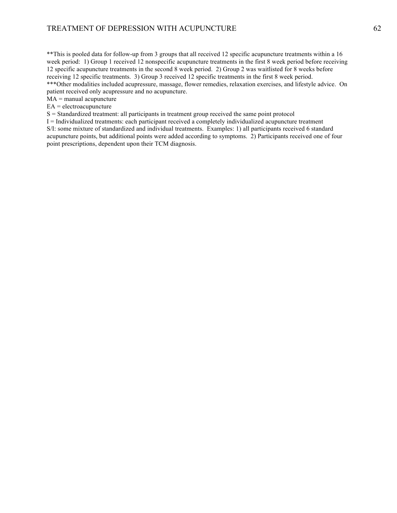\*\*This is pooled data for follow-up from 3 groups that all received 12 specific acupuncture treatments within a 16 week period: 1) Group 1 received 12 nonspecific acupuncture treatments in the first 8 week period before receiving 12 specific acupuncture treatments in the second 8 week period. 2) Group 2 was waitlisted for 8 weeks before receiving 12 specific treatments. 3) Group 3 received 12 specific treatments in the first 8 week period. \*\*\*Other modalities included acupressure, massage, flower remedies, relaxation exercises, and lifestyle advice. On patient received only acupressure and no acupuncture.

 $MA =$  manual acupuncture

EA = electroacupuncture

S = Standardized treatment: all participants in treatment group received the same point protocol

I = Individualized treatments: each participant received a completely individualized acupuncture treatment S/I: some mixture of standardized and individual treatments. Examples: 1) all participants received 6 standard acupuncture points, but additional points were added according to symptoms. 2) Participants received one of four point prescriptions, dependent upon their TCM diagnosis.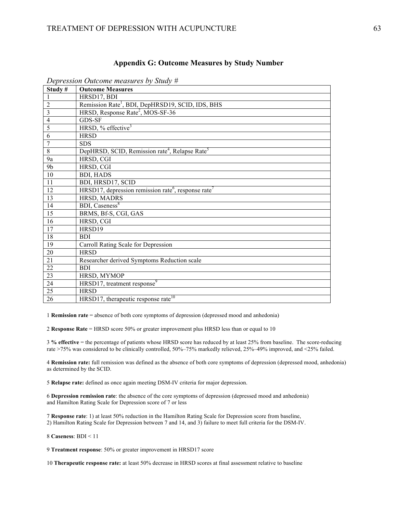#### **Appendix G: Outcome Measures by Study Number**

| Study#         | <b>Outcome Measures</b>                                                     |
|----------------|-----------------------------------------------------------------------------|
|                | HRSD17, BDI                                                                 |
| $\overline{2}$ | Remission Rate <sup>1</sup> , BDI, DepHRSD19, SCID, IDS, BHS                |
| 3              | HRSD, Response Rate <sup>2</sup> , MOS-SF-36                                |
| 4              | GDS-SF                                                                      |
| 5              | HRSD, $%$ effective <sup>3</sup>                                            |
| 6              | <b>HRSD</b>                                                                 |
| $\overline{7}$ | <b>SDS</b>                                                                  |
| 8              | DepHRSD, SCID, Remission rate <sup>4</sup> , Relapse Rate <sup>5</sup>      |
| 9a             | HRSD, CGI                                                                   |
| 9 <sub>b</sub> | HRSD, CGI                                                                   |
| 10             | <b>BDI, HADS</b>                                                            |
| 11             | BDI, HRSD17, SCID                                                           |
| 12             | HRSD17, depression remission rate <sup>6</sup> , response rate <sup>7</sup> |
| 13             | HRSD, MADRS                                                                 |
| 14             | <b>BDI</b> , Caseness <sup>8</sup>                                          |
| 15             | BRMS, Bf-S, CGI, GAS                                                        |
| 16             | HRSD, CGI                                                                   |
| 17             | HRSD19                                                                      |
| 18             | <b>BDI</b>                                                                  |
| 19             | Carroll Rating Scale for Depression                                         |
| 20             | <b>HRSD</b>                                                                 |
| 21             | Researcher derived Symptoms Reduction scale                                 |
| 22             | <b>BDI</b>                                                                  |
| 23             | HRSD, MYMOP                                                                 |
| 24             | HRSD17, treatment response <sup>9</sup>                                     |
| 25             | <b>HRSD</b>                                                                 |
| 26             | HRSD17, therapeutic response rate <sup>10</sup>                             |

*Depression Outcome measures by Study #*

**Remission rate** = absence of both core symptoms of depression (depressed mood and anhedonia)

**Response Rate** = HRSD score 50% or greater improvement plus HRSD less than or equal to 10

**% effective** = the percentage of patients whose HRSD score has reduced by at least 25% from baseline. The score-reducing rate >75% was considered to be clinically controlled, 50%–75% markedly relieved, 25%–49% improved, and <25% failed.

 **Remission rate:** full remission was defined as the absence of both core symptoms of depression (depressed mood, anhedonia) as determined by the SCID.

**Relapse rate:** defined as once again meeting DSM-IV criteria for major depression.

 **Depression remission rate**: the absence of the core symptoms of depression (depressed mood and anhedonia) and Hamilton Rating Scale for Depression score of 7 or less

 **Response rate**: 1) at least 50% reduction in the Hamilton Rating Scale for Depression score from baseline, 2) Hamilton Rating Scale for Depression between 7 and 14, and 3) failure to meet full criteria for the DSM-IV.

**Caseness**: BDI < 11

**Treatment response**: 50% or greater improvement in HRSD17 score

**Therapeutic response rate:** at least 50% decrease in HRSD scores at final assessment relative to baseline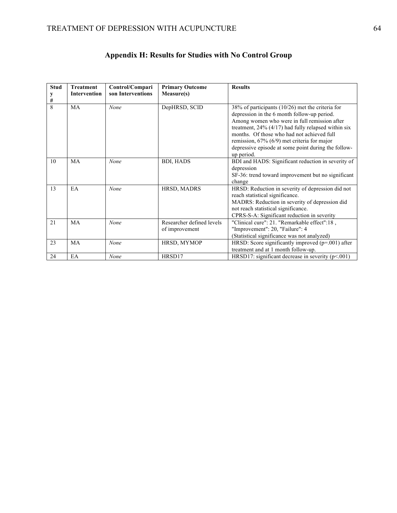| <b>Stud</b>  | <b>Treatment</b>    | Control/Compari   | <b>Primary Outcome</b>                      | <b>Results</b>                                                                                                                                                                                                                                                                                                                                                                     |
|--------------|---------------------|-------------------|---------------------------------------------|------------------------------------------------------------------------------------------------------------------------------------------------------------------------------------------------------------------------------------------------------------------------------------------------------------------------------------------------------------------------------------|
| #            | <b>Intervention</b> | son Interventions | Measure(s)                                  |                                                                                                                                                                                                                                                                                                                                                                                    |
| $\mathbf{8}$ | MA                  | None              | DepHRSD, SCID                               | 38% of participants (10/26) met the criteria for<br>depression in the 6 month follow-up period.<br>Among women who were in full remission after<br>treatment, $24\%$ (4/17) had fully relapsed within six<br>months. Of those who had not achieved full<br>remission, $67\%$ ( $6/9$ ) met criteria for major<br>depressive episode at some point during the follow-<br>up period. |
| 10           | MA                  | None              | <b>BDI, HADS</b>                            | BDI and HADS: Significant reduction in severity of<br>depression<br>SF-36: trend toward improvement but no significant<br>change                                                                                                                                                                                                                                                   |
| 13           | EA                  | None              | HRSD, MADRS                                 | HRSD: Reduction in severity of depression did not<br>reach statistical significance.<br>MADRS: Reduction in severity of depression did<br>not reach statistical significance.<br>CPRS-S-A: Significant reduction in severity                                                                                                                                                       |
| 21           | MA                  | None              | Researcher defined levels<br>of improvement | "Clinical cure": 21. "Remarkable effect":18,<br>"Improvement": 20, "Failure": 4<br>(Statistical significance was not analyzed)                                                                                                                                                                                                                                                     |
| 23           | MA                  | None              | HRSD, MYMOP                                 | HRSD: Score significantly improved $(p=.001)$ after<br>treatment and at 1 month follow-up.                                                                                                                                                                                                                                                                                         |
| 24           | EA                  | None              | HRSD17                                      | HRSD17: significant decrease in severity $(p<.001)$                                                                                                                                                                                                                                                                                                                                |

# **Appendix H: Results for Studies with No Control Group**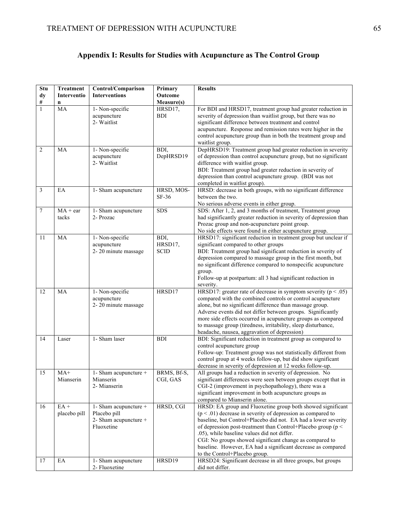## **Appendix I: Results for Studies with Acupuncture as The Control Group**

| Stu            | <b>Treatment</b>       | Control/Comparison                                                           | Primary                        | <b>Results</b>                                                                                                                                                                                                                                                                                                                                                                                                                                                                                                                               |
|----------------|------------------------|------------------------------------------------------------------------------|--------------------------------|----------------------------------------------------------------------------------------------------------------------------------------------------------------------------------------------------------------------------------------------------------------------------------------------------------------------------------------------------------------------------------------------------------------------------------------------------------------------------------------------------------------------------------------------|
| dy             | Interventio            | <b>Interventions</b>                                                         | Outcome                        |                                                                                                                                                                                                                                                                                                                                                                                                                                                                                                                                              |
| $\#$           | $\mathbf n$            |                                                                              | Measure(s)                     |                                                                                                                                                                                                                                                                                                                                                                                                                                                                                                                                              |
| $\mathbf{1}$   | MA                     | 1- Non-specific<br>acupuncture<br>2- Waitlist                                | HRSD17,<br><b>BDI</b>          | For BDI and HRSD17, treatment group had greater reduction in<br>severity of depression than waitlist group, but there was no<br>significant difference between treatment and control<br>acupuncture. Response and remission rates were higher in the<br>control acupuncture group than in both the treatment group and<br>waitlist group.                                                                                                                                                                                                    |
| $\overline{2}$ | MA                     | 1- Non-specific<br>acupuncture<br>2- Waitlist                                | BDI.<br>DepHRSD19              | DepHRSD19: Treatment group had greater reduction in severity<br>of depression than control acupuncture group, but no significant<br>difference with waitlist group.<br>BDI: Treatment group had greater reduction in severity of<br>depression than control acupuncture group. (BDI was not<br>completed in waitlist group).                                                                                                                                                                                                                 |
| 3              | EA                     | 1- Sham acupuncture                                                          | HRSD, MOS-<br>$SF-36$          | HRSD: decrease in both groups, with no significant difference<br>between the two.<br>No serious adverse events in either group.                                                                                                                                                                                                                                                                                                                                                                                                              |
| $\tau$         | $MA + ear$<br>tacks    | 1- Sham acupuncture<br>2- Prozac                                             | <b>SDS</b>                     | SDS: After 1, 2, and 3 months of treatment, Treatment group<br>had significantly greater reduction in severity of depression than<br>Prozac group and non-acupuncture point group.<br>No side effects were found in either acupuncture group.                                                                                                                                                                                                                                                                                                |
| 11             | MA                     | 1- Non-specific<br>acupuncture<br>2-20 minute massage                        | BDI,<br>HRSD17,<br><b>SCID</b> | HRSD17: significant reduction in treatment group but unclear if<br>significant compared to other groups<br>BDI: Treatment group had significant reduction in severity of<br>depression compared to massage group in the first month, but<br>no significant difference compared to nonspecific acupuncture<br>group.<br>Follow-up at postpartum: all 3 had significant reduction in<br>severity.                                                                                                                                              |
| 12             | <b>MA</b>              | 1- Non-specific<br>acupuncture<br>2-20 minute massage                        | HRSD17                         | HRSD17: greater rate of decrease in symptom severity ( $p < .05$ )<br>compared with the combined controls or control acupuncture<br>alone, but no significant difference than massage group.<br>Adverse events did not differ between groups. Significantly<br>more side effects occurred in acupuncture groups as compared<br>to massage group (tiredness, irritability, sleep disturbance,<br>headache, nausea, aggravation of depression)                                                                                                 |
| 14             | Laser                  | 1- Sham laser                                                                | <b>BDI</b>                     | BDI: Significant reduction in treatment group as compared to<br>control acupuncture group<br>Follow-up: Treatment group was not statistically different from<br>control group at 4 weeks follow-up, but did show significant<br>decrease in severity of depression at 12 weeks follow-up.                                                                                                                                                                                                                                                    |
| 15             | $MA+$<br>Mianserin     | $1 -$ Sham acupuncture +<br>Mianserin<br>2- Mianserin                        | BRMS, Bf-S,<br>CGI, GAS        | All groups had a reduction in severity of depression. No<br>significant differences were seen between groups except that in<br>CGI-2 (improvement in psychopathology), there was a<br>significant improvement in both acupuncture groups as<br>compared to Mianserin alone.                                                                                                                                                                                                                                                                  |
| 16             | $EA +$<br>placebo pill | 1- Sham acupuncture +<br>Placebo pill<br>2- Sham acupuncture +<br>Fluoxetine | HRSD, CGI<br>HRSD19            | HRSD: EA group and Fluoxetine group both showed significant<br>$(p < .01)$ decrease in severity of depression as compared to<br>baseline, but Control+Placebo did not. EA had a lower severity<br>of depression post-treatment than Control+Placebo group ( $p <$<br>.05), while baseline values did not differ.<br>CGI: No groups showed significant change as compared to<br>baseline. However, EA had a significant decrease as compared<br>to the Control+Placebo group.<br>HRSD24: Significant decrease in all three groups, but groups |
| 17             | EA                     | 1- Sham acupuncture<br>2- Fluoxetine                                         |                                | did not differ.                                                                                                                                                                                                                                                                                                                                                                                                                                                                                                                              |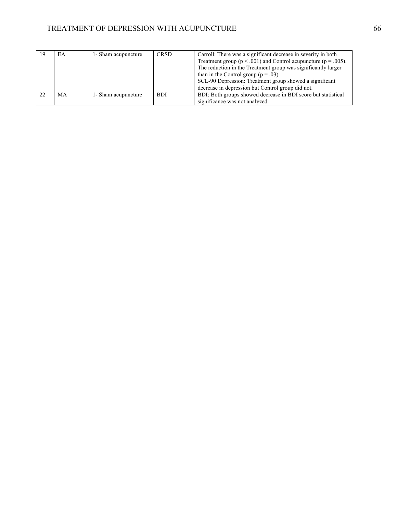### TREATMENT OF DEPRESSION WITH ACUPUNCTURE 66

|    | ЕA | 1- Sham acupuncture | <b>CRSD</b> | Carroll: There was a significant decrease in severity in both          |
|----|----|---------------------|-------------|------------------------------------------------------------------------|
|    |    |                     |             | Treatment group ( $p < .001$ ) and Control acupuncture ( $p = .005$ ). |
|    |    |                     |             | The reduction in the Treatment group was significantly larger          |
|    |    |                     |             | than in the Control group ( $p = .03$ ).                               |
|    |    |                     |             | SCL-90 Depression: Treatment group showed a significant                |
|    |    |                     |             | decrease in depression but Control group did not.                      |
| 22 | MA | 1- Sham acupuncture | BDI.        | BDI: Both groups showed decrease in BDI score but statistical          |
|    |    |                     |             | significance was not analyzed.                                         |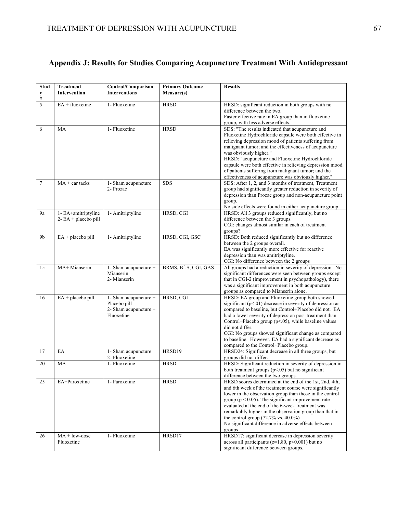# **Appendix J: Results for Studies Comparing Acupuncture Treatment With Antidepressant**

| Stud      | Treatment               | Control/Comparison                    | <b>Primary Outcome</b> | <b>Results</b>                                                                                                     |
|-----------|-------------------------|---------------------------------------|------------------------|--------------------------------------------------------------------------------------------------------------------|
| y<br>$\#$ | Intervention            | <b>Interventions</b>                  | Measure(s)             |                                                                                                                    |
| 5         | $EA + fluoxetine$       | 1- Fluoxetine                         | <b>HRSD</b>            | HRSD: significant reduction in both groups with no<br>difference between the two.                                  |
|           |                         |                                       |                        | Faster effective rate in EA group than in fluoxetine                                                               |
|           |                         |                                       |                        | group, with less adverse effects.                                                                                  |
| 6         | MA                      | 1- Fluoxetine                         | <b>HRSD</b>            | SDS: "The results indicated that acupuncture and                                                                   |
|           |                         |                                       |                        | Fluoxetine Hydrochloride capsule were both effective in<br>relieving depression mood of patients suffering from    |
|           |                         |                                       |                        | malignant tumor; and the effectiveness of acupuncture                                                              |
|           |                         |                                       |                        | was obviously higher."                                                                                             |
|           |                         |                                       |                        | HRSD: "acupuncture and Fluoxetine Hydrochloride<br>capsule were both effective in relieving depression mood        |
|           |                         |                                       |                        | of patients suffering from malignant tumor; and the                                                                |
|           |                         |                                       |                        | effectiveness of acupuncture was obviously higher."                                                                |
| $\tau$    | $MA + ear$ tacks        | 1- Sham acupuncture<br>2- Prozac      | <b>SDS</b>             | SDS: After 1, 2, and 3 months of treatment, Treatment<br>group had significantly greater reduction in severity of  |
|           |                         |                                       |                        | depression than Prozac group and non-acupuncture point                                                             |
|           |                         |                                       |                        | group.                                                                                                             |
| <b>9a</b> | 1- EA+amitriptyline     | 1- Amitriptyline                      | HRSD, CGI              | No side effects were found in either acupuncture group.<br>HRSD: All 3 groups reduced significantly, but no        |
|           | $2 - EA + placebo$ pill |                                       |                        | difference between the 3 groups.                                                                                   |
|           |                         |                                       |                        | CGI: changes almost similar in each of treatment                                                                   |
| 9b        | $EA + placebo$ pill     | 1- Amitriptyline                      | HRSD, CGI, GSC         | groups?<br>HRSD: Both reduced significantly but no difference                                                      |
|           |                         |                                       |                        | between the 2 groups overall.                                                                                      |
|           |                         |                                       |                        | EA was significantly more effective for reactive                                                                   |
|           |                         |                                       |                        | depression than was amitriptyline.<br>CGI: No difference between the 2 groups                                      |
| 15        | MA+ Mianserin           | 1- Sham acupuncture +                 | BRMS, Bf-S, CGI, GAS   | All groups had a reduction in severity of depression. No                                                           |
|           |                         | Mianserin<br>2- Mianserin             |                        | significant differences were seen between groups except<br>that in CGI-2 (improvement in psychopathology), there   |
|           |                         |                                       |                        | was a significant improvement in both acupuncture                                                                  |
|           |                         |                                       |                        | groups as compared to Mianserin alone.                                                                             |
| 16        | $EA + placebo$ pill     | 1- Sham acupuncture +<br>Placebo pill | HRSD, CGI              | HRSD: EA group and Fluoxetine group both showed<br>significant $(p<01)$ decrease in severity of depression as      |
|           |                         | 2- Sham acupuncture +                 |                        | compared to baseline, but Control+Placebo did not. EA                                                              |
|           |                         | Fluoxetine                            |                        | had a lower severity of depression post-treatment than                                                             |
|           |                         |                                       |                        | Control+Placebo group (p<.05), while baseline values<br>did not differ.                                            |
|           |                         |                                       |                        | CGI: No groups showed significant change as compared                                                               |
|           |                         |                                       |                        | to baseline. However, EA had a significant decrease as                                                             |
| 17        | EA                      | 1- Sham acupuncture                   | HRSD19                 | compared to the Control+Placebo group.<br>HRSD24: Significant decrease in all three groups, but                    |
|           |                         | 2- Fluoxetine                         |                        | groups did not differ.                                                                                             |
| 20        | MA                      | 1- Fluoxetine                         | <b>HRSD</b>            | HRSD: Significant reduction in severity of depression in                                                           |
|           |                         |                                       |                        | both treatment groups $(p<.05)$ but no significant<br>difference between the two groups.                           |
| 25        | EA+Paroxetine           | 1- Paroxetine                         | <b>HRSD</b>            | HRSD scores determined at the end of the 1st, 2nd, 4th,                                                            |
|           |                         |                                       |                        | and 6th week of the treatment course were significantly                                                            |
|           |                         |                                       |                        | lower in the observation group than those in the control<br>group ( $p < 0.05$ ). The significant improvement rate |
|           |                         |                                       |                        | evaluated at the end of the 6-week treatment was                                                                   |
|           |                         |                                       |                        | remarkably higher in the observation group than that in                                                            |
|           |                         |                                       |                        | the control group $(72.7\% \text{ vs. } 40.0\%)$<br>No significant difference in adverse effects between           |
|           |                         |                                       |                        | groups                                                                                                             |
| 26        | $MA + low-dose$         | 1- Fluoxetine                         | HRSD17                 | HRSD17: significant decrease in depression severity                                                                |
|           | Fluoxetine              |                                       |                        | across all participants ( $z=1.80$ , $p<0.001$ ) but no<br>significant difference between groups.                  |
|           |                         |                                       |                        |                                                                                                                    |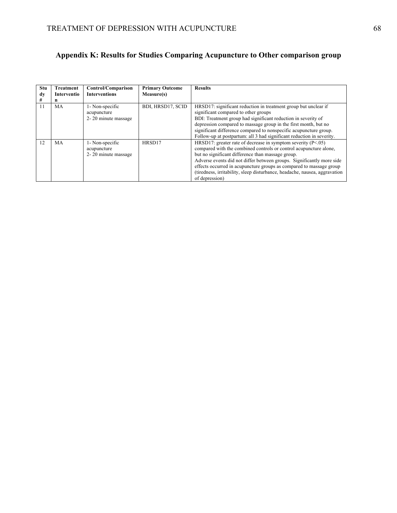## **Appendix K: Results for Studies Comparing Acupuncture to Other comparison group**

| Stu<br>dy<br># | Treatment<br>Interventio<br>n | Control/Comparison<br><b>Interventions</b>            | <b>Primary Outcome</b><br>Measure(s) | <b>Results</b>                                                                                                                                                                                                                                                                                                                                                                                                                           |
|----------------|-------------------------------|-------------------------------------------------------|--------------------------------------|------------------------------------------------------------------------------------------------------------------------------------------------------------------------------------------------------------------------------------------------------------------------------------------------------------------------------------------------------------------------------------------------------------------------------------------|
| 11             | MA                            | 1- Non-specific<br>acupuncture<br>2-20 minute massage | BDI, HRSD17, SCID                    | HRSD17: significant reduction in treatment group but unclear if<br>significant compared to other groups<br>BDI: Treatment group had significant reduction in severity of<br>depression compared to massage group in the first month, but no<br>significant difference compared to nonspecific acupuncture group.<br>Follow-up at postpartum: all 3 had significant reduction in severity.                                                |
| 12             | MA                            | 1- Non-specific<br>acupuncture<br>2-20 minute massage | HRSD17                               | HRSD17: greater rate of decrease in symptom severity $(P<.05)$<br>compared with the combined controls or control acupuncture alone.<br>but no significant difference than massage group.<br>Adverse events did not differ between groups. Significantly more side<br>effects occurred in acupuncture groups as compared to massage group<br>(tiredness, irritability, sleep disturbance, headache, nausea, aggravation<br>of depression) |